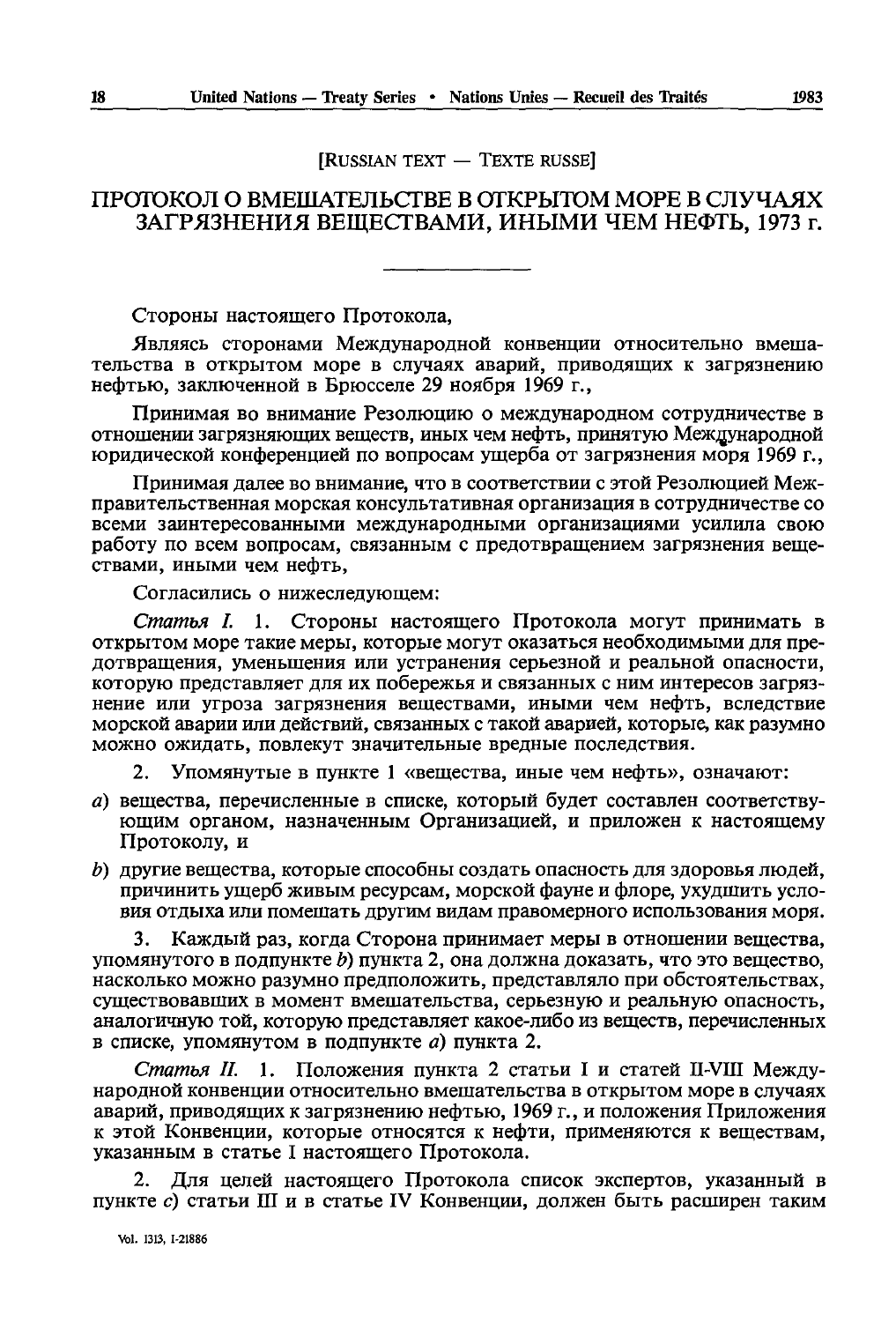**IRUSSIAN TEXT - TEXTE RUSSE** 

# ПРОТОКОЛ О ВМЕШАТЕЛЬСТВЕ В ОТКРЫТОМ МОРЕ В СЛУЧАЯХ ЗАГРЯЗНЕНИЯ ВЕШЕСТВАМИ, ИНЫМИ ЧЕМ НЕФТЬ, 1973 г.

Стороны настоящего Протокола,

Являясь сторонами Международной конвенции относительно вмешательства в открытом море в случаях аварий, приводящих к загрязнению нефтью, заключенной в Брюсселе 29 ноября 1969 г.,

Принимая во внимание Резолюцию о международном сотрудничестве в отношении загрязняющих веществ, иных чем нефть, принятую Международной юрилической конференцией по вопросам ущерба от загрязнения моря 1969 г.

Принимая далее во внимание, что в соответствии с этой Резолюцией Межправительственная морская консультативная организация в сотрудничестве со всеми заинтересованными международными организациями усилила свою работу по всем вопросам, связанным с предотвращением загрязнения вешествами. иными чем нефть.

Согласились о нижеследующем:

Статья I. 1. Стороны настоящего Протокола могут принимать в открытом море такие меры, которые могут оказаться необходимыми для предотврашения, уменьшения или устранения серьезной и реальной опасности, которую представляет лля их побережья и связанных с ним интересов загрязнение или угроза загрязнения веществами, иными чем нефть, вследствие морской аварии или действий, связанных с такой аварией, которые, как разумно можно ожилать, повлекут значительные вредные последствия.

Упомянутые в пункте 1 «вещества, иные чем нефть», означают:

- а) вещества, перечисленные в списке, который будет составлен соответствующим органом, назначенным Организацией, и приложен к настоящему Протоколу, и
- b) другие вещества, которые способны создать опасность для здоровья людей, причинить ущерб живым ресурсам, морской фауне и флоре, ухудшить условия отдыха или помешать другим видам правомерного использования моря.

Каждый раз, когда Сторона принимает меры в отношении вещества, упомянутого в подпункте b) пункта 2, она должна доказать, что это вещество, насколько можно разумно предположить, представляло при обстоятельствах, существовавших в момент вмешательства, серьезную и реальную опасность, аналогичную той, которую представляет какое-либо из веществ, перечисленных в списке, упомянутом в подпункте  $a$ ) пункта 2.

Статья II. 1. Положения пункта 2 статьи I и статей II-VIII Международной конвенции относительно вмешательства в открытом море в случаях аварий, приводящих к загрязнению нефтью, 1969 г., и положения Приложения к этой Конвенции, которые относятся к нефти, применяются к веществам, указанным в статье I настоящего Протокола.

Для целей настоящего Протокола список экспертов, указанный в пункте с) статьи Ш и в статье IV Конвенции, должен быть расширен таким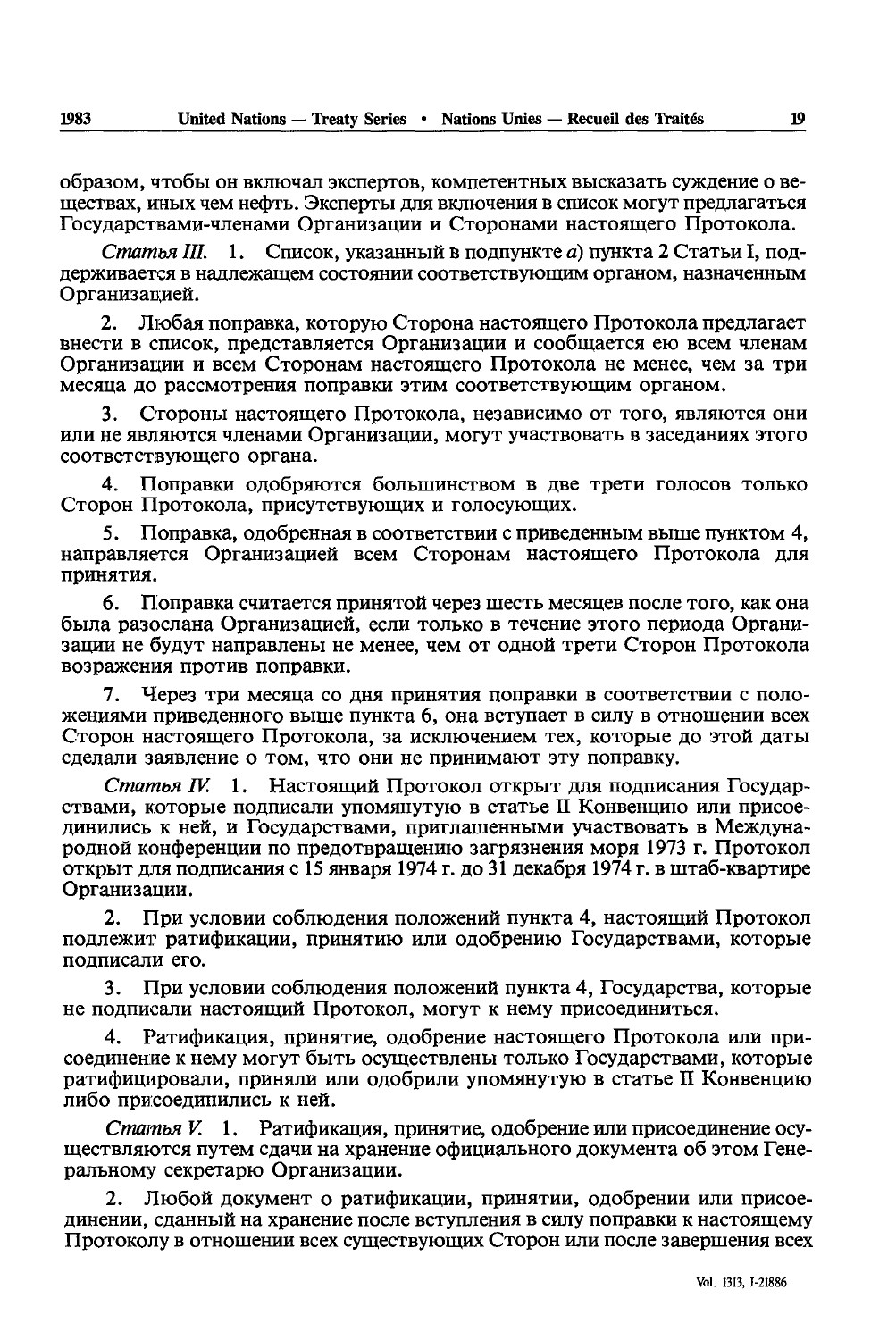образом, чтобы он включал экспертов, компетентных высказать суждение о веществах, иных чем нефть. Эксперты для включения в список могут предлагаться Государствами-членами Организации и Сторонами настоящего Протокола.

Статья III.  $\mathbf{1}$ . Список, указанный в подпункте а) пункта 2 Статьи I, подлерживается в наллежащем состоянии соответствующим органом, назначенным Организацией.

Любая поправка, которую Сторона настоящего Протокола предлагает 2. внести в список, представляется Организации и сообщается ею всем членам Организации и всем Сторонам настоящего Протокола не менее, чем за три месяца до рассмотрения поправки этим соответствующим органом.

Стороны настоящего Протокола, независимо от того, являются они 3. или не являются членами Организации, могут участвовать в заседаниях этого соответствующего органа.

 $4.$ Поправки одобряются большинством в две трети голосов только Сторон Протокола, присутствующих и голосующих.

5. Поправка, одобренная в соответствии с приведенным выше пунктом 4, направляется Организацией всем Сторонам настоящего Протокола для принятия.

Поправка считается принятой через шесть месяцев после того, как она 6. была разослана Организацией, если только в течение этого периода Организации не будут направлены не менее, чем от одной трети Сторон Протокола возражения против поправки.

Через три месяца со дня принятия поправки в соответствии с поло-7. жениями приведенного выше пункта 6, она вступает в силу в отношении всех Сторон настоящего Протокола, за исключением тех, которые до этой даты сделали заявление о том, что они не принимают эту поправку.

1. Настоящий Протокол открыт для подписания Государ-Статья IV. ствами, которые подписали упомянутую в статье II Конвенцию или присоединились к ней, и Государствами, приглашенными участвовать в Международной конференции по предотвращению загрязнения моря 1973 г. Протокол открыт для подписания с 15 января 1974 г. до 31 декабря 1974 г. в штаб-квартире Организации.

 $2.$ При условии соблюдения положений пункта 4, настоящий Протокол подлежит ратификации, принятию или одобрению Государствами, которые подписали его.

 $3.$ При условии соблюдения положений пункта 4, Государства, которые не подписали настоящий Протокол, могут к нему присоединиться.

4. Ратификация, принятие, одобрение настоящего Протокола или присоединение к нему могут быть осуществлены только Государствами, которые ратифицировали, приняли или одобрили упомянутую в статье II Конвенцию либо присоединились к ней.

Статья V. 1. Ратификация, принятие, одобрение или присоединение осушествляются путем сдачи на хранение официального документа об этом Генеральному секретарю Организации.

 $2.$ Любой документ о ратификации, принятии, одобрении или присоединении, сланный на хранение после вступления в силу поправки к настоящему Протоколу в отношении всех существующих Сторон или после завершения всех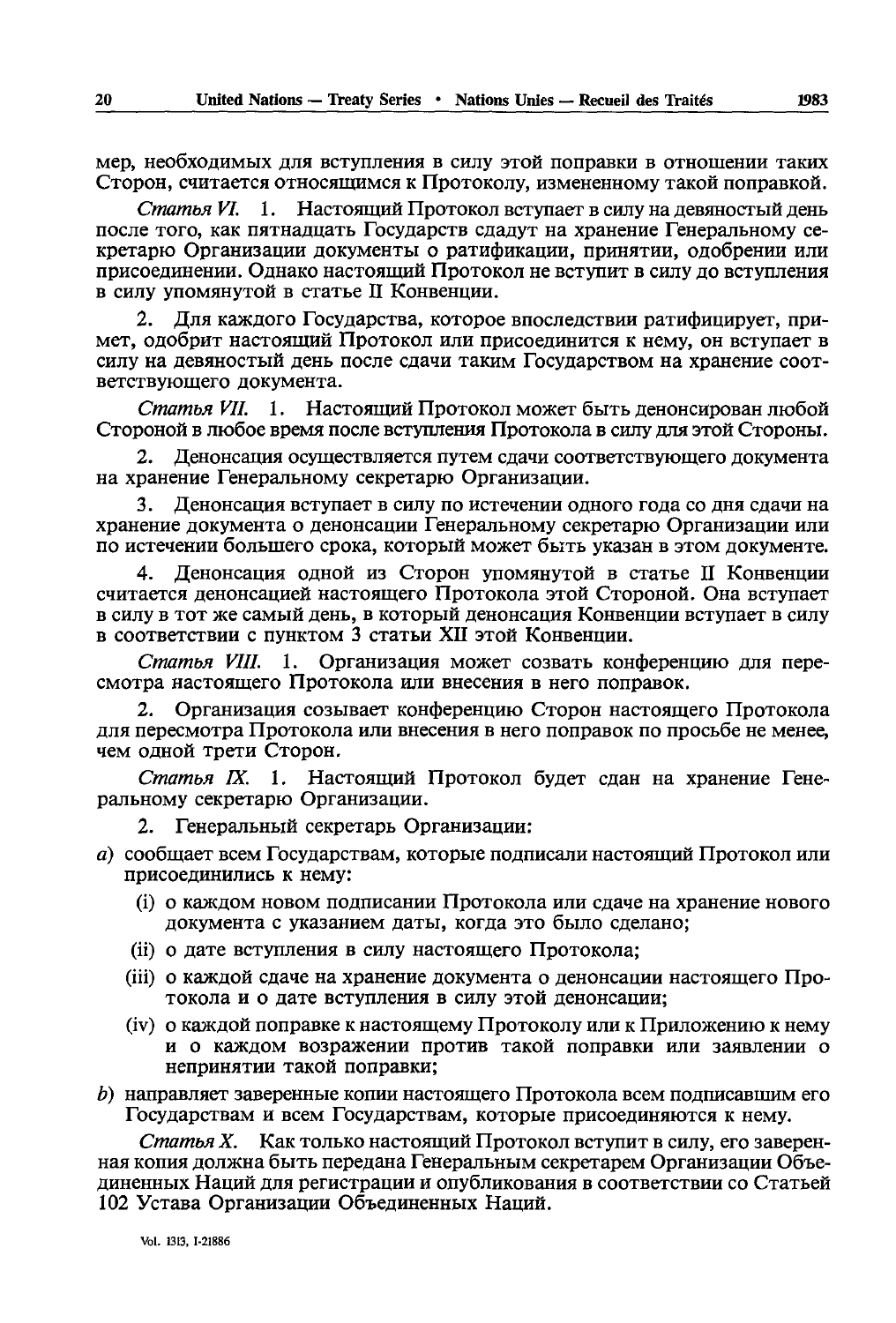мер, необходимых для вступления в силу этой поправки в отношении таких Сторон, считается относящимся к Протоколу, измененному такой поправкой.

Статья VI. 1. Настоящий Протокол вступает в силу на девяностый день после того, как пятнадцать Государств сдадут на хранение Генеральному секретарю Организации документы о ратификации, принятии, одобрении или присоединении. Однако настоящий Протокол не вступит в силу до вступления в силу упомянутой в статье II Конвенции.

 $2.$ Для каждого Государства, которое впоследствии ратифицирует, примет, одобрит настоящий Протокол или присоединится к нему, он вступает в силу на девяностый день после сдачи таким Государством на хранение соответствующего документа.

Статья VII. 1. Настояций Протокол может быть денонсирован любой Стороной в любое время после вступления Протокола в силу для этой Стороны.

Денонсация осуществляется путем слачи соответствующего локумента на хранение Генеральному секретарю Организации.

3. Денонсация вступает в силу по истечении одного года со дня сдачи на хранение документа о денонсации Генеральному секретарю Организации или по истечении большего срока, который может быть указан в этом документе.

Денонсация одной из Сторон упомянутой в статье II Конвенции  $\mathbf{4}$ . считается денонсацией настоящего Протокола этой Стороной. Она вступает в силу в тот же самый день, в который денонсация Конвенции вступает в силу в соответствии с пунктом 3 статьи XII этой Конвенции.

Статья VIII. 1. Организация может созвать конференцию для пересмотра настоящего Протокола или внесения в него поправок.

Организация созывает конференцию Сторон настоящего Протокола 2. для пересмотра Протокола или внесения в него поправок по просьбе не менее, чем одной трети Сторон.

Статья IX. 1. Настоящий Протокол будет сдан на хранение Генеральному секретарю Организации.

- $2.$ Генеральный секретарь Организации:
- а) сообщает всем Государствам, которые подписали настоящий Протокол или присоединились к нему:
	- (i) о каждом новом подписании Протокола или сдаче на хранение нового документа с указанием даты, когда это было сделано;
	- (ii) о дате вступления в силу настоящего Протокола;
	- (iii) о каждой сдаче на хранение документа о денонсации настоящего Протокола и о дате вступления в силу этой денонсации;
	- (iv) о каждой поправке к настоящему Протоколу или к Приложению к нему и о каждом возражении против такой поправки или заявлении о непринятии такой поправки;

b) направляет заверенные копии настоящего Протокола всем подписавшим его Государствам и всем Государствам, которые присоединяются к нему.

Статья Х. Как только настоящий Протокол вступит в силу, его заверенная копия должна быть передана Генеральным секретарем Организации Объединенных Наций для регистрации и опубликования в соответствии со Статьей 102 Устава Организации Объединенных Наций.

1983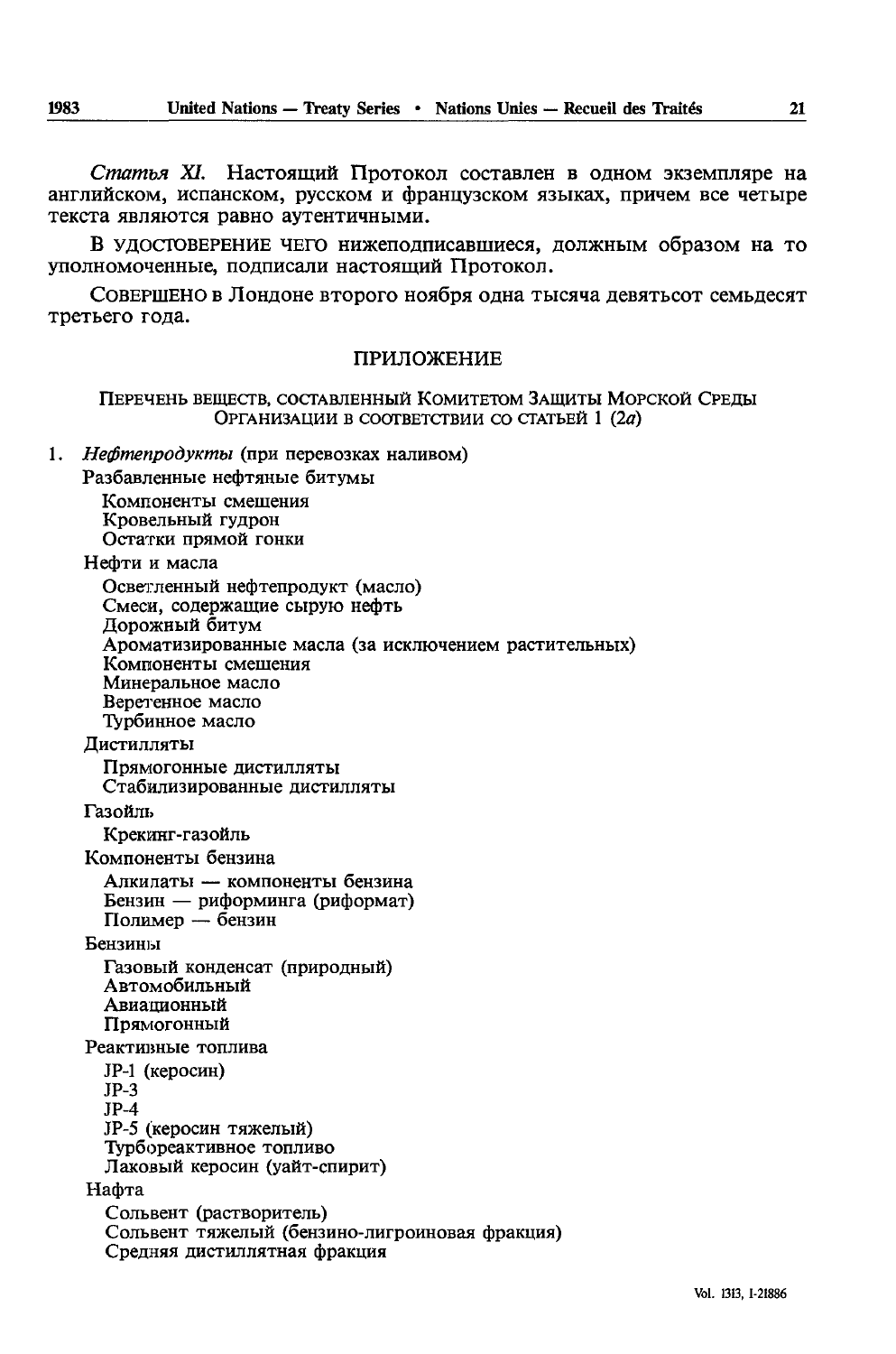Статья XI. Настоящий Протокол составлен в одном экземпляре на английском, испанском, русском и французском языках, причем все четыре текста являются равно аутентичными.

В удостоверение чего нижеподписавшиеся, должным образом на то уполномоченные, полписали настоящий Протокол.

СОВЕРШЕНО в Лондоне второго ноября одна тысяча девятьсот семьдесят третьего года.

### ПРИЛОЖЕНИЕ

Перечень веществ, составленный Комитетом Защиты Морской Среды ОРГАНИЗАЦИИ В СООТВЕТСТВИИ СО СТАТЬЕЙ 1 (2a)

Нефтепродукты (при перевозках наливом)  $1<sup>1</sup>$ 

Разбавленные нефтяные битумы Компоненты смешения Кровельный гудрон

Остатки прямой гонки

Нефти и масла

1983

Осветленный нефтепродукт (масло) Смеси, содержащие сырую нефть Дорожный битум Ароматизированные масла (за исключением растительных) Компоненты смешения Минеральное масло Веретенное масло Турбинное масло Дистилляты Прямогонные дистилляты Стабилизированные дистилляты Газойль Крекинг-газойль Компоненты бензина Алкилаты — компоненты бензина Бензин — риформинга (риформат)<br>Полимер — бензин Бензины Газовый конденсат (природный) Автомобильный Авиационный Прямогонный Реактивные топлива JP-1 (керосин)  $JP-3$  $JP-4$ JP-5 (керосин тяжелый) Турбореактивное топливо Лаковый керосин (уайт-спирит) Нафта Сольвент (растворитель) Сольвент тяжелый (бензино-лигроиновая фракция) Средняя дистиллятная фракция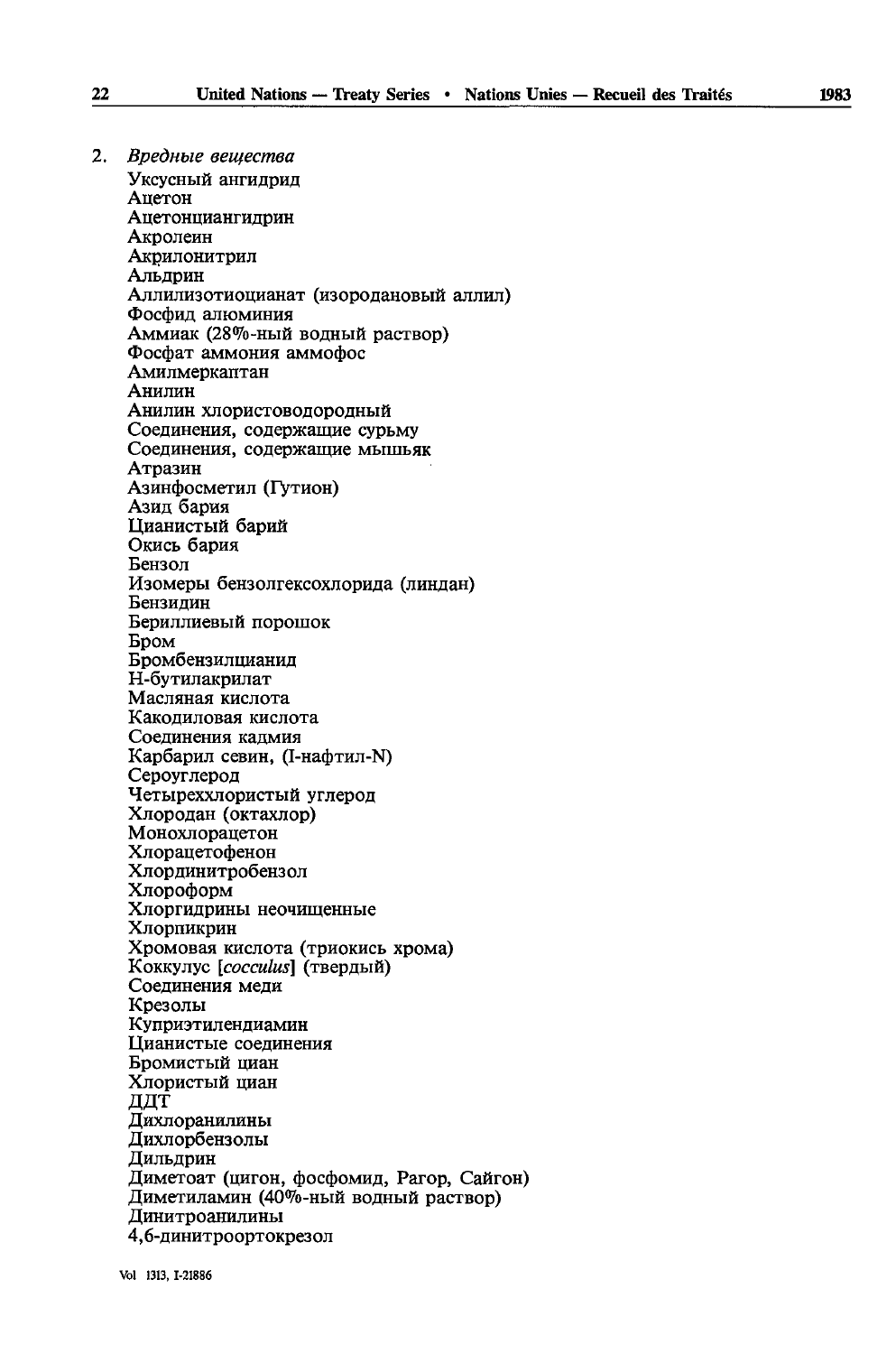2. Вредные вешества Уксусный ангидрид Ацетон Ацетонциангидрин Акролеин Акрилонитрил Альдрин Аллилизотиоцианат (изородановый аллил) Фосфид алюминия Аммиак (28%-ный водный раствор) Фосфат аммония аммофос Амилмеркаптан Анилин Анилин хлористоволоролный Соединения, содержащие сурьму Соединения, содержащие мышьяк Атразин Азинфосметил (Гутион) Азид бария Цианистый барий Окись бария Бензол Изомеры бензолгексохлорида (линдан) Бензидин Бериллиевый порошок Бром Бромбензилцианид Н-бутилакрилат Масляная кислота Какодиловая кислота Соелинения калмия Карбарил севин, (I-нафтил-N) Сероуглерод Четыреххлористый углерод Хлородан (октахлор) Монохлорацетон Хлорацетофенон Хлординитробензол Хлороформ Хлоргидрины неочищенные Хлорпикрин Хромовая кислота (триокись хрома) Коккулус [cocculus] (твердый) Соединения меди Крезолы Куприэтилендиамин Цианистые соединения Бромистый циан Хлористый циан ДДТ Дихлоранилины Дихлорбензолы Дильдрин Диметоат (цигон, фосфомид, Рагор, Сайгон) Диметиламин (40%-ный водный раствор) Динитроанилины 4,6-динитроортокрезол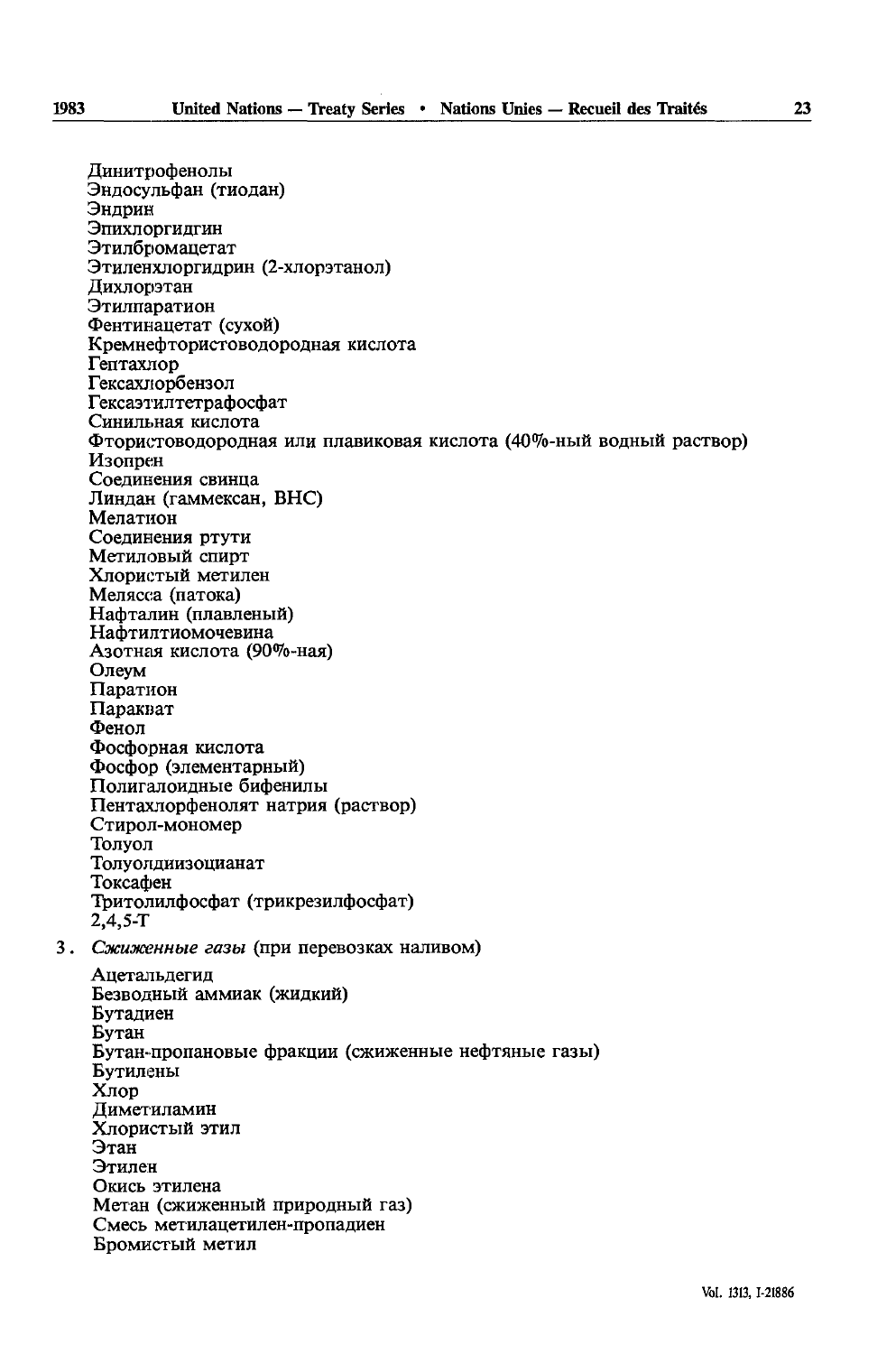Динитрофенолы<br>Эндосульфан (тиодан) Эндрин Эпихлоргидгин Этилбромацетат Этиленхлоргидрин (2-хлорэтанол) Дихлорэтан Этилпаратион Фентинацетат (сухой) Кремнефтористоводородная кислота Гептахлор Гексахлорбензол Гексаэтилтетрафосфат Синильная кислота Фтористоводородная или плавиковая кислота (40%-ный водный раствор) Изопрен Соединения свинца Линдан (гаммексан, ВНС) Мелатион Соединения ртути Метиловый спирт Хлористый метилен Мелясса (патока) Нафталин (плавленый) Нафтилтиомочевина Азотная кислота (90%-ная) Олеум Паратион Паракват Фенол Фосфорная кислота Фосфор (элементарный) Полигалоилные бифенилы Пентахлорфенолят натрия (раствор) Стирол-мономер Толуол Толуолдиизоцианат Токсафен Тритолилфосфат (трикрезилфосфат)  $2,4,5-T$ 3. Сжиженные газы (при перевозках наливом) Ацетальдегид Безводный аммиак (жидкий) Бутадиен Бутан Бутан-пропановые фракции (сжиженные нефтяные газы) Бутилены Хлор Диметиламин Хлористый этил Этан Этилен

Смесь метилацетилен-пропадиен

Метан (сжиженный природный газ)

Бромистый метил

Окись этилена

1983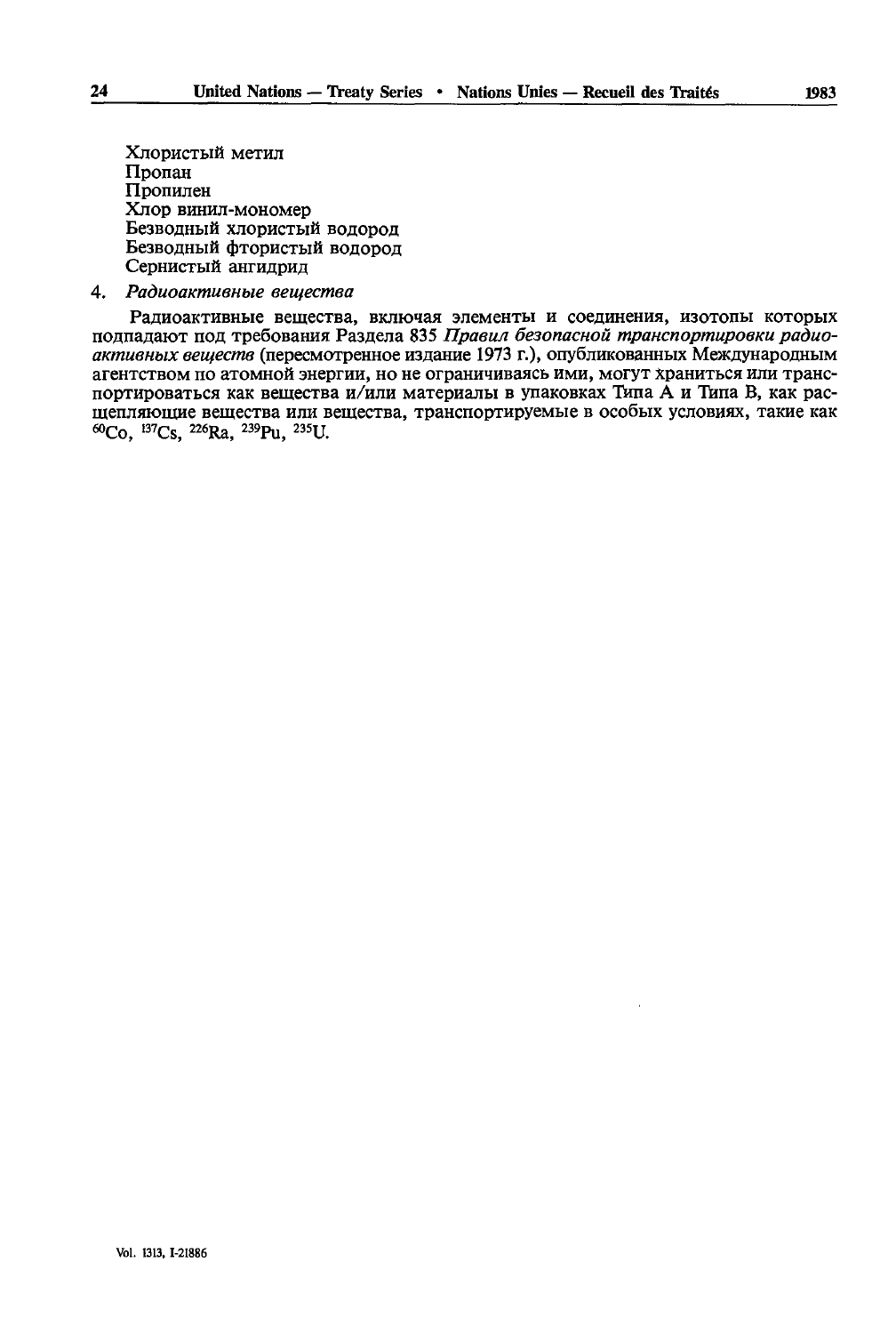Хлористый метил Пропан Пропилен Хлор винил-мономер Безводный хлористый водород Безводный фтористый водород Сернистый ангилрил

### 4. Радиоактивные вешества

Ралиоактивные вещества, включая элементы и соединения, изотопы которых подпадают под требования Раздела 835 Правил безопасной транспортировки радиоактивных веществ (пересмотренное издание 1973 г.), опубликованных Международным агентством по атомной энергии, но не ограничиваясь ими, могут храниться или транспортироваться как вещества и/или материалы в упаковках Типа А и Типа В. как распіепляющие вещества или вещества, транспортируемые в особых условиях, такие как 60Co. 137Cs. 226Ra. 239Pu. 235U.

 $24$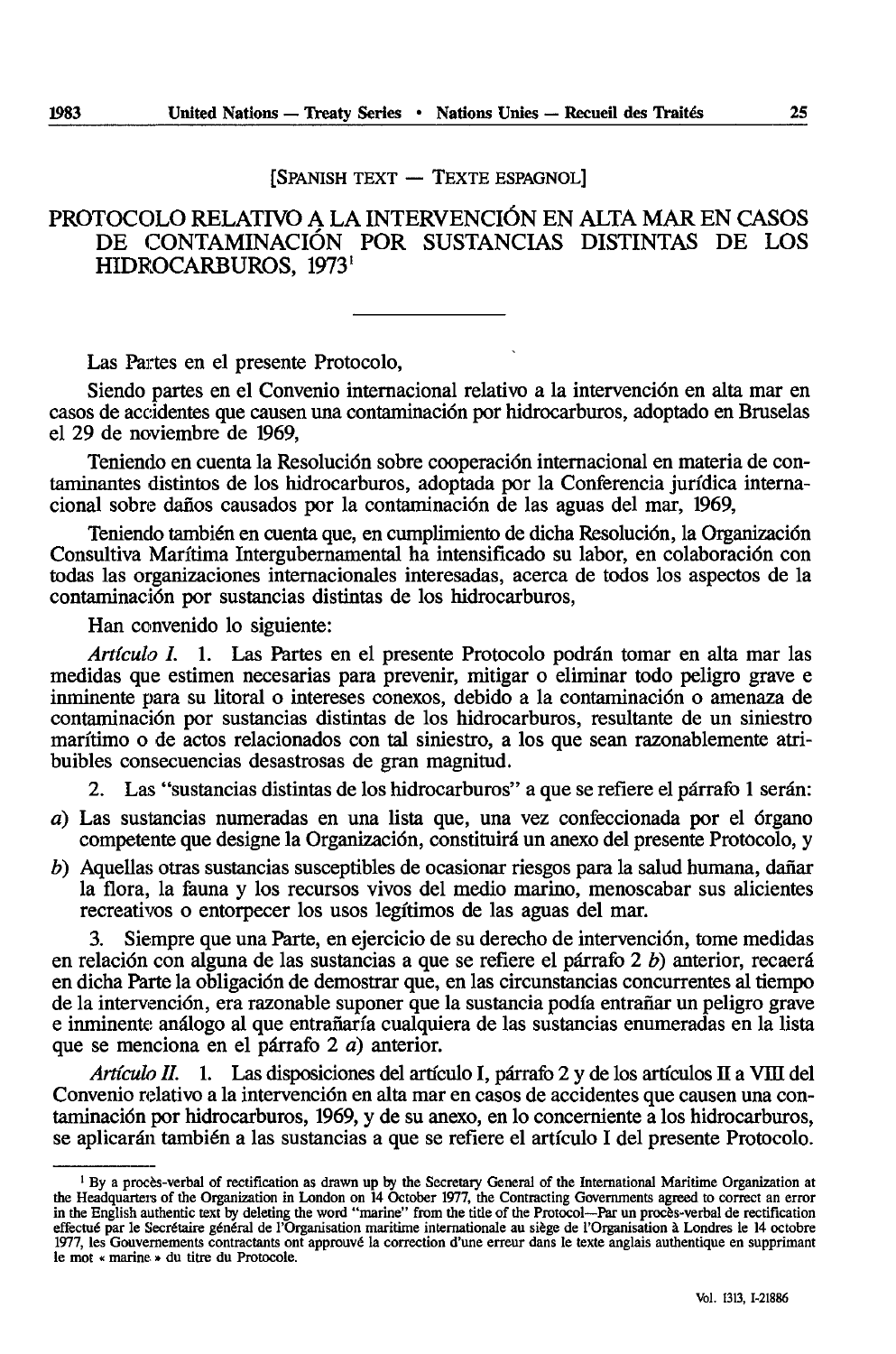[SPANISH TEXT — TEXTE ESPAGNOL]

# PROTOCOLO RELATIVO A LA INTERVENCIÔN EN ALTA MAR EN CASOS DE CONTAMINACIÔN FOR SUSTANCIAS DISTINTAS DE LOS HIDROCARBUROS, 1973'

Las Partes en el presente Protocolo,

Siendo partes en el Convenio internacional relative a la intervention en alla mar en casos de accidentes que causen una contamination por hidrocarburos, adoptado en Bruselas el 29 de noviembre de 1969,

Teniendo en cuenta la Resolución sobre coopéración internacional en materia de contaminantes distintos de los hidrocarburos, adoptada por la Conferencia juridica interna cional sobre daños causados por la contaminación de las aguas del mar, 1969,

Teniendo también en cuenta que, en cumplimiento de dicha Resolución, la Organización Consultiva Marítima Intergubernamental ha intensificado su labor, en colaboración con todas las organizaciones internationales interesadas, acerca de todos los aspectos de la contamination por sustancias distintas de los hidrocarburos,

Han convenido lo siguiente:

*Artículo I. 1. Las Partes en el presente Protocolo podrán tomar en alta mar las* medidas que estimen necesarias para prevenir, mitigar o eliminar todo peligro grave e inminente para su litoral o intereses conexos, debido a la contaminación o amenaza de contaminación por sustancias distintas de los hidrocarburos, resultante de un siniestro maritime o de actes relacionados con tal siniestro, a los que sean razonablemente atribuibles consecuencias desastrosas de gran magnitud.

2. Las "sustancias distintas de los hidrocarburos" a que se refïere el pârrafo 1 serân:

- *a*) Las sustancias numeradas en una lista que, una vez confeccionada por el órgano competente que designe la Organización, constituirá un anexo del presente Protocolo, y
- *b*) Aquellas otras sustancias susceptibles de ocasionar riesgos para la salud humana, dañar la flora, la fauna y los recursos vivos del medio marino, menoscabar sus alicientes recreativos o entorpecer los usos legítimos de las aguas del mar.

3. Siempre que una Parte, en ejercicio de su derecho de intervention, tome medidas en relación con alguna de las sustancias a que se refiere el párrafo 2 *b*) anterior, recaerá en dicha Parte la obligation de demostrar que, en las circunstancias concurrentes al tiempo de la intervención, era razonable suponer que la sustancia podía entrañar un peligro grave e inminente anâlogo al que entranarîa cualquiera de las sustancias enumeradas en la lista que se menciona en el pârrafo 2 a) anterior.

*Artículo II.* 1. Las disposiciones del artículo I, párrafo 2 y de los artículos II a VIII del Convenio relativo a la intervención en alta mar en casos de accidentes que causen una contaminación por hidrocarburos, 1969, y de su anexo, en lo concerniente a los hidrocarburos, se aplicarán también a las sustancias a que se refiere el artículo I del presente Protocolo.

<sup>&</sup>lt;sup>1</sup> By a procès-verbal of rectification as drawn up by the Secretary General of the International Maritime Organization at the Headquarters of the Organization in London on 14 October 1977, the Contracting Governments agreed to correct an error in the English authentic text by deleting the word "marine" from the title of the Protocol—Par un procès-verbal de rectification effectué par le Secrétaire général de l'Organisation maritime internationale au siège de l'Organisation à Londres le 14 octobre 1977, les Gouvernements contractants ont approuvé la correction d'une erreur dans le texte anglais authentique en supprimant le mot « marine » du titre du Protocole.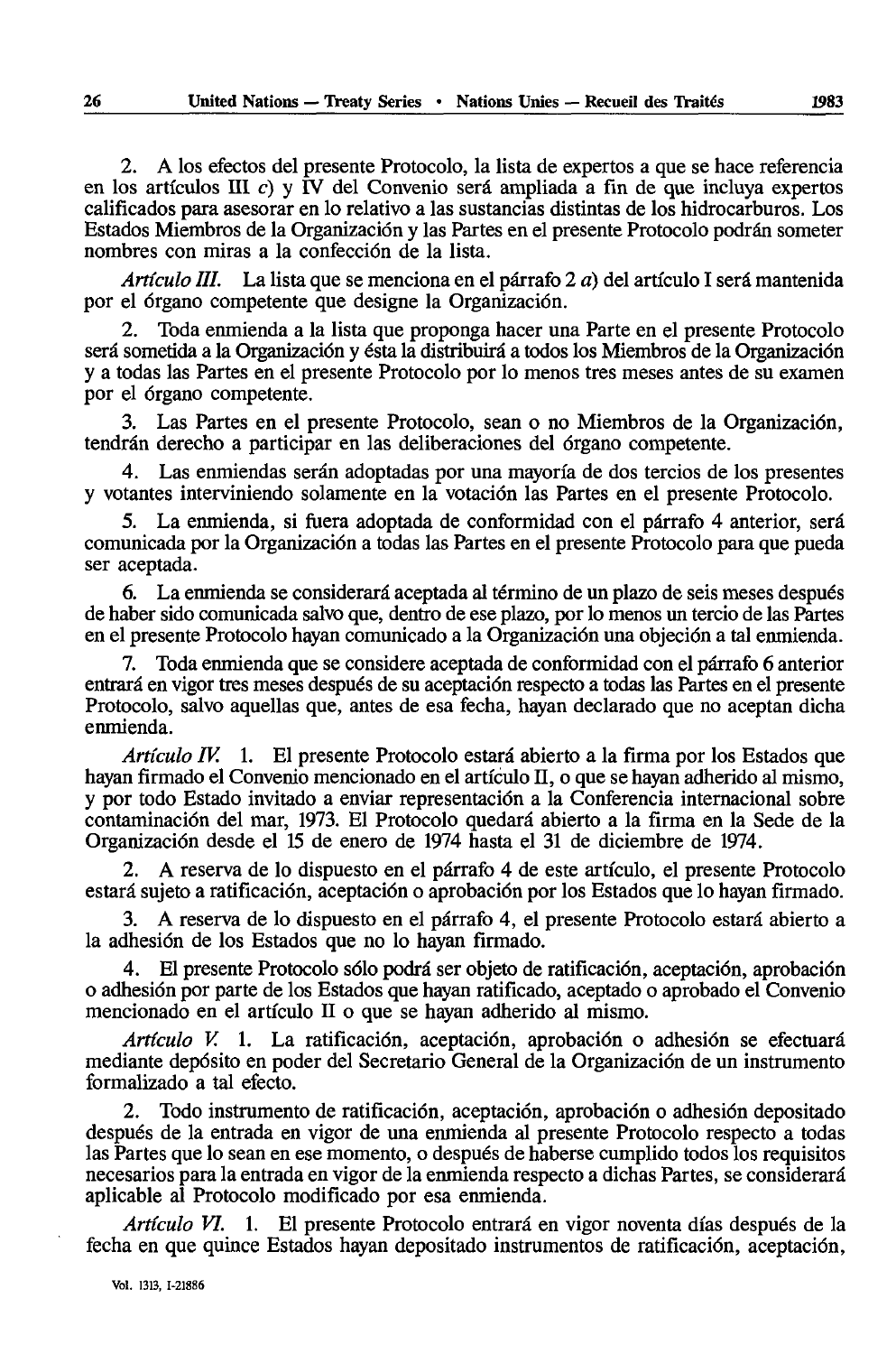2. A los efectos del presente Protocolo, la lista de expertos a que se hace referencia en los artículos  $III$  c) y  $IV$  del Convenio será ampliada a fin de que incluya expertos califïcados para asesorar en lo relative a las sustancias distintas de los hidrocarburos. Los Estados Miembros de la Organizacidn y las Partes en el présente Protocolo podrân someter nombres con miras a la confeccidn de la lista.

*Articula III.* La lista que se menciona en el pârrafo 2 *a)* del articulo I sera mantenida por el órgano competente que designe la Organización.

2. Toda enmienda a la lista que proponga hacer una Parte en el presente Protocolo será sometida a la Organización y ésta la distribuirá a todos los Miembros de la Organización y a todas las Partes en el presente Protocolo por lo menos très meses antes de su examen por el órgano competente.

3. Las Partes en el présente Protocolo, sean o no Miembros de la Organizacidn, tendrân derecho a participar en las deliberaciones del drgano compétente.

4. Las enmiendas serân adoptadas por una mayorîa de dos tercios de los présentes y votantes interviniendo solamente en la votacidn las Partes en el présente Protocolo.

5. La enmienda, si fuera adoptada de conformidad con el pârrafo 4 anterior, sera comunicada por la Organización a todas las Partes en el presente Protocolo para que pueda ser aceptada.

6. La enmienda se considerarâ aceptada al término de un plazo de seis meses después de haber sido comunicada salvo que, dentro de ese plazo, por lo menos un tercio de las Partes en el présente Protocolo hayan comunicado a la Organizacidn una objecidn a tal enmienda.

7. Toda enmienda que se considère aceptada de conformidad con el pârrafo 6 anterior entrará en vigor très meses después de su aceptación respecto a todas las Partes en el presente Protocolo, salvo aquellas que, antes de esa fecha, hayan declarado que no aceptan dicha enmienda.

*Artículo IV.* 1. El presente Protocolo estará abierto a la firma por los Estados que hayan firmado el Convenio mencionado en el articulo H, o que se hayan adherido al mismo, y por todo Estado invitado a enviar representacidn a la Conferencia internacional sobre contaminacidn del mar, 1973. El Protocolo quedarâ abierto a la firma en la Sede de la Organizacidn desde el 15 de enero de 1974 hasta el 31 de diciembre de 1974.

2. A reserva de lo dispuesto en el párrafo 4 de este artículo, el presente Protocolo estarâ sujeto a ratificacidn, aceptacidn o aprobacidn por los Estados que lo hayan firmado.

3. A reserva de lo dispuesto en el párrafo 4, el presente Protocolo estará abierto a la adhesidn de los Estados que no lo hayan firmado.

4. El presente Protocolo sólo podrá ser objeto de ratificación, aceptación, aprobación o adhesidn por parte de los Estados que hayan ratificado, aceptado o aprobado el Convenio mencionado en el articulo II o que se hayan adherido al mismo.

*Artículo V.* 1. La ratificación, aceptación, aprobación o adhesión se efectuará mediante depdsito en poder del Secretario General de la Organizacidn de un instrumento formalizado a tal efecto.

2. Todo instrumento de ratificacidn, aceptacidn, aprobacidn o adhesidn depositado después de la entrada en vigor de una enmienda al presente Protocolo respecto a todas las Partes que lo sean en ese momento, o después de haberse cumplido todos los requisites necesarios para la entrada en vigor de la enmienda respecte a dichas Partes, se considerarâ aplicable al Protocolo modificado por esa enmienda.

*Articulo VI.* 1. El présente Protocolo entrarâ en vigor noventa dfas después de la fecha en que quince Estados hayan depositado instrumentes de ratificacidn, aceptacidn,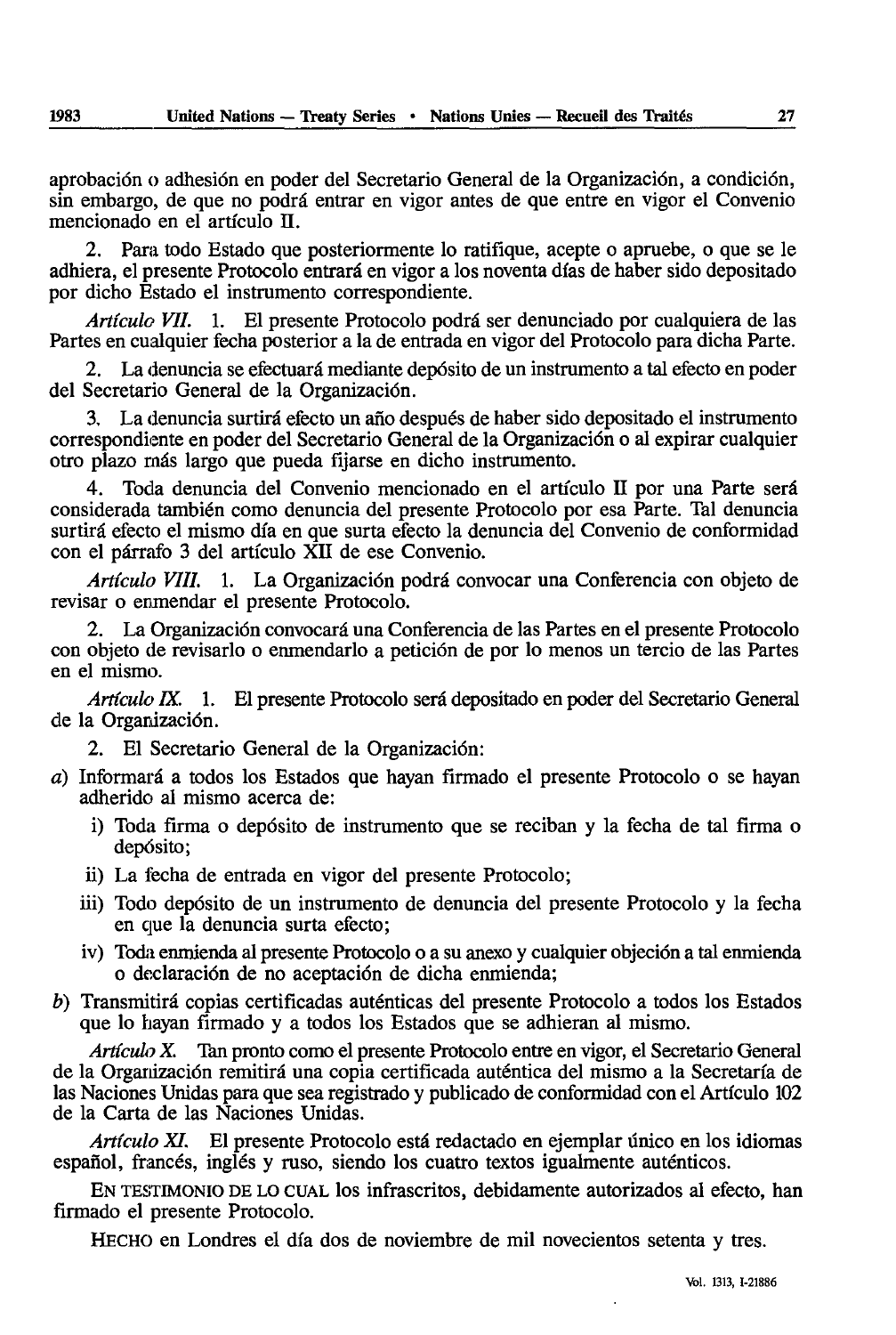aprobación o adhesión en poder del Secretario General de la Organización, a condición, sin embargo, de que no podrâ entrar en vigor antes de que entre en vigor el Convenio mencionado en el artîculo H.

2. Para todo Estado que posteriormente lo ratifique, acepte o apruebe, o que se le adhiera, el présente Protocolo entrarâ en vigor a los noventa dfas de haber sido depositado por dicho Estado el instrumento correspondiente.

*Artículo VII.* 1. El presente Protocolo podrá ser denunciado por cualquiera de las Partes en cualquier fecha posterior a la de entrada en vigor del Protocolo para dicha Parte.

2. La denuncia se efectuará mediante depósito de un instrumento a tal efecto en poder del Secretario General de la Organización.

La denuncia surtirá efecto un año después de haber sido depositado el instrumento correspondiente en poder del Secretario General de la Organization o al expirar cualquier otro plazo nias largo que pueda fîjarse en dicho instrumenta.

4. Toda denuncia del Convenio mencionado en el artîculo II por una Parte sera considerada también como denuncia del presente Protocolo por esa Parte. Tal denuncia surtirâ efecto el mismo dia en que surta efecto la denuncia del Convenio de conformidad con el pârrafo 3 del artfculo XII de ese Convenio.

*Articula VIII.* 1. La Organization podrà convocar una Conferencia con objeto de revisar o enmendar el presente Protocolo.

2. La Organización convocará una Conferencia de las Partes en el presente Protocolo con objeto de revisarlo o enmendarlo a petición de por lo menos un tercio de las Partes en el mismo.

*Artículo IX.* 1. El presente Protocolo será depositado en poder del Secretario General de la Organización.

2. El Secretario General de la Organización:

- $a)$  Informará a todos los Estados que hayan firmado el presente Protocolo o se hayan adherido al mismo acerca de:
	- i) Toda firma o depósito de instrumento que se reciban y la fecha de tal firma o depósito;
	- ii) La fecha de entrada en vigor del presente Protocolo;
	- iii) Todo depósito de un instrumento de denuncia del presente Protocolo y la fecha en que la denuncia surta efecto;
	- iv) Toda enmienda al présente Protocolo o a su anexo y cualquier objecion a tal enmienda o declaración de no aceptación de dicha enmienda;
- *b*) Transmitirá copias certificadas auténticas del presente Protocolo a todos los Estados que lo hayan firmado y a todos los Estados que se adhieran al mismo.

Artículo X. Tan pronto como el presente Protocolo entre en vigor, el Secretario General de la Organization remitirâ una copia certificada auténtica del mismo a la Secretaria de las Naciones Unidas para que sea registrado y publicado de conformidad con el Artîculo 102 de la Carta de las Naciones Unidas.

*Artîculo XI.* El présente Protocolo esta redactado en ejemplar ûnico en los idiomas español, francés, inglés y ruso, siendo los cuatro textos igualmente auténticos.

EN TESTIMONIO DE LO CUAL los infrascritos, debidamente autorizados al efecto, han firmado el presente Protocolo.

HECHO en Londres el día dos de noviembre de mil novecientos setenta y tres.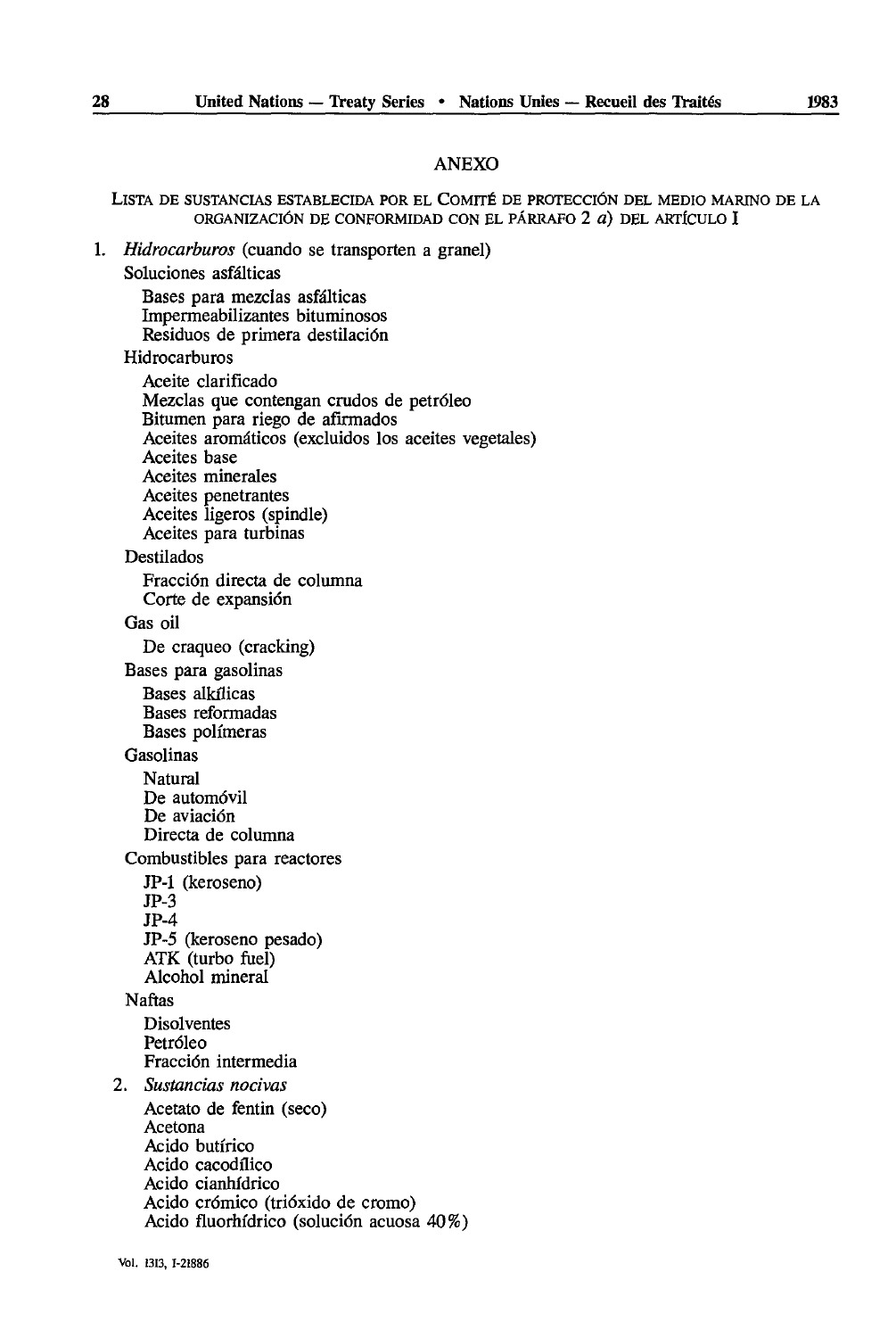### ANEXO

#### LlSTA DE SUSTANCIAS ESTABLECIDA POR EL COMITÉ DE PROTECCIÔN DEL MEDIO MARINO DE LA ORGANIZACIÔN DE CONFORMIDAD CON EL PÂRRAFO 2 *à)* DEL ARTÎCULO I

1. *Hidrocarburos* (cuando se transporten a granel)

Soluciones asfâlticas

Bases para mezclas asfâlticas Impermeabilizantes bituminosos Residues de primera destilaciôn

#### Hidrocarburos

Aceite clarifîcado Mezclas que contengan crudos de petrôleo Bitumen para riego de afîrmados Aceites aromáticos (excluidos los aceites vegetales) Aceites base Aceites minerales Aceites penetrantes Aceites ligeros (spindle) Aceites para turbinas Destilados Fracciôn directa de columna Corte de expansión Gas oil De craqueo (cracking) Bases para gasolinas Bases alkflicas

Bases reformadas Bases polimeras

## Gasolinas

Natural De automôvil De aviación Directa de columna

Combustibles para reactores

```
JP-1 (keroseno)
JP-3
```
JP-4

JP-5 (keroseno pesado) ATK (turbo fuel) Alcohol mineral

#### Naftas

Disolventes Petrôleo Fracciôn intermedia

- 2. *Sustancias nocivas*
- Acetato de fentin (seco) Acetona Acido butirico Acido cacodflico Acido cianhfdrico Acido crômico (triôxido de cromo) Acido fluorhfdrico (soluciôn acuosa 40%)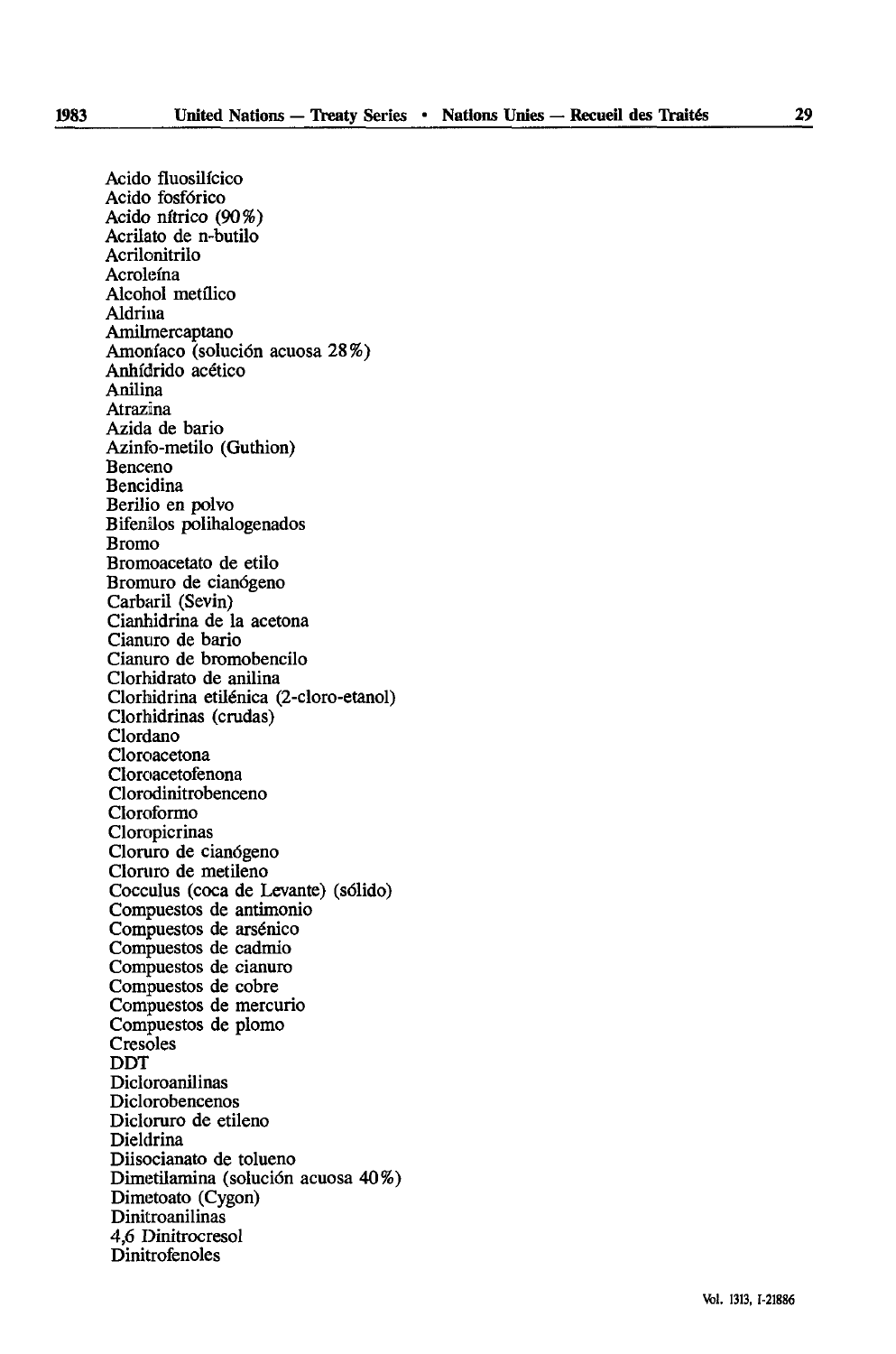Acido fluosilfcico Acido fosfôrico Acido nftrico (90%) Acrilato de n-butilo Acrilonitrilo Acrolema Alcohol metflico Aldrina Amilmercaptano Amonfaco (soluciôn acuosa 28%) Anhidrido acético Anilina Atrazina Azida de bario Azinfo-metilo (Guthion) Benceno Bencidina Berilio en polvo Bifenilos polihalogenados Bromo Bromoacetato de etilo Bromuro de cianôgeno Carbaril (Sevin) Cianhidrina de la acetona Cianuro de bario Cianuro de bromobencilo Clorhidrato de anilina Clorhidrina etilénica (2-cloro-etanol) Clorhidrinas (crudas) Clordano Cloroacetona Cloroacetofenona Clorodinitrobenceno Cloroformo Cloropicrinas Cloruro de cianôgeno Cloruro de metileno Cocculus (coca de Levante) (sôlido) Compuestos de antimonio Compuestos de arsénico Compuestos de cadmio Compuestos de cianuro Compuestos de cobre Compuestos de mercuric Compuestos de plomo **Cresoles** DDT Dicloroanilinas Diclorobencenos Dicloruro de etileno Dieldrina Diisocianato de tolueno Dimetilamina (soluciôn acuosa 40%) Dimetoato (Cygon) Dinitroanilinas 4,6 Dinitrocresol Dinitrofenoles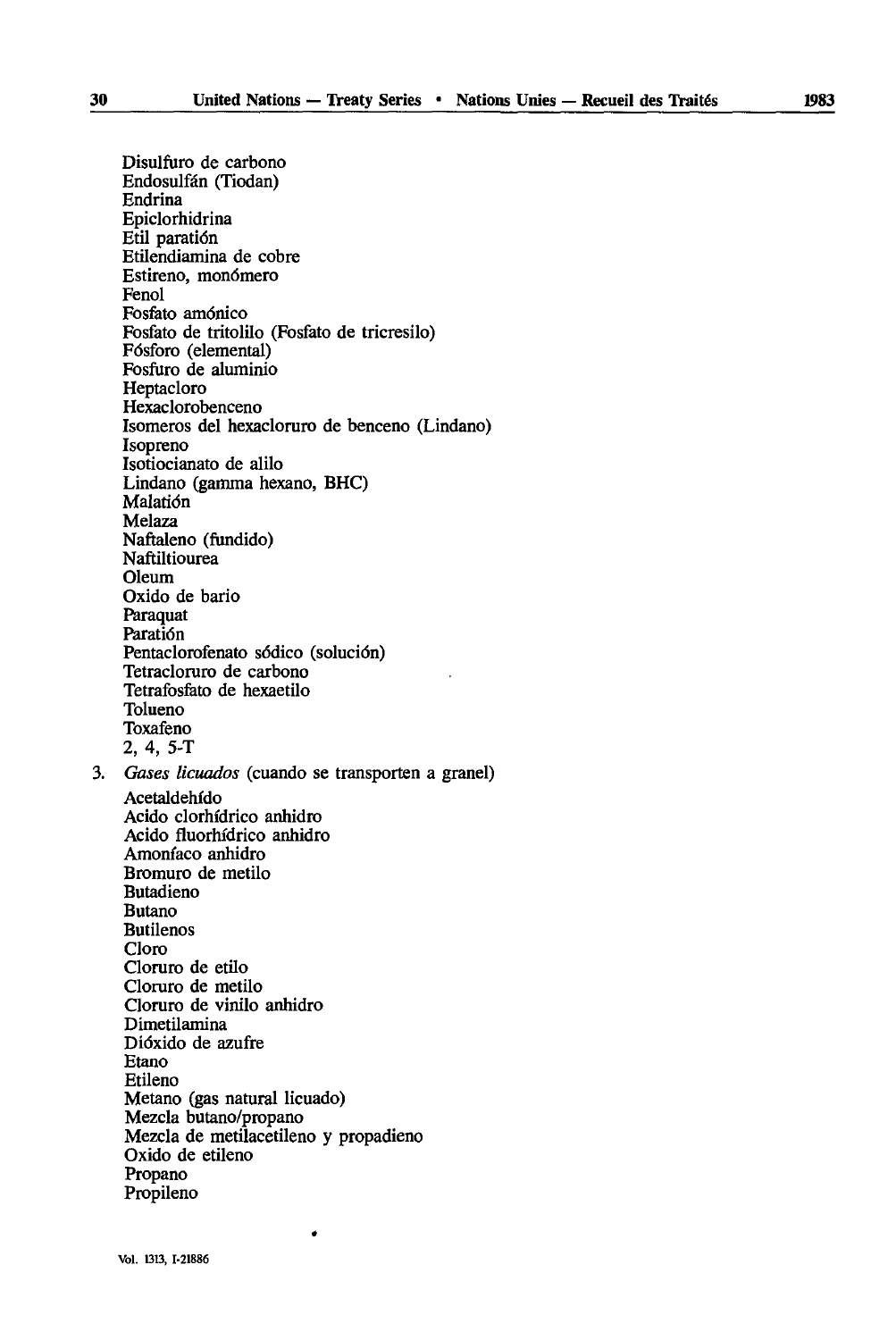Disulfuro de carbono Endosulfân (Tiodan) Endrina Epiclorhidrina Etil paratiôn Etilendiamina de cobre Estireno, monómero Fenol Fosfato amônico Fosfato de tritolilo (Fosfato de tricresilo) Fôsforo (elemental) Fosfuro de aluminio Heptacloro Hexaclorobenceno Isomeros del hexacloruro de benceno (Lindano) Isopreno Isotiocianato de alilo Lindano (gamma hexano, BHC) Malatiôn Melaza Naftaleno (fundido) Naftiltiourea **Oleum** Oxido de bario Paraquat Paratiôn Pentaclorofenato sédico (soluciôn) Tetracloruro de carbono Tetrafosfato de hexaetilo Tolueno Toxafeno 2, 4, 5-T 3. *Gases licuados* (cuando se transporten a granel) Acetaldehido Acido clorhfdrico anhidro Acido fluorhfdrico anhidro Amonfaco anhidro Bromuro de metilo **Butadieno** Butano Butilenos Cloro Cloruro de etilo Cloruro de metilo Cloruro de vinilo anhidro Dimetilamina Diôxido de azufre Etano Etileno Metano (gas natural licuado) Mezcla butano/propano Mezcla de metilacetileno y propadieno Oxido de etileno Propano Propileno

 $\bullet$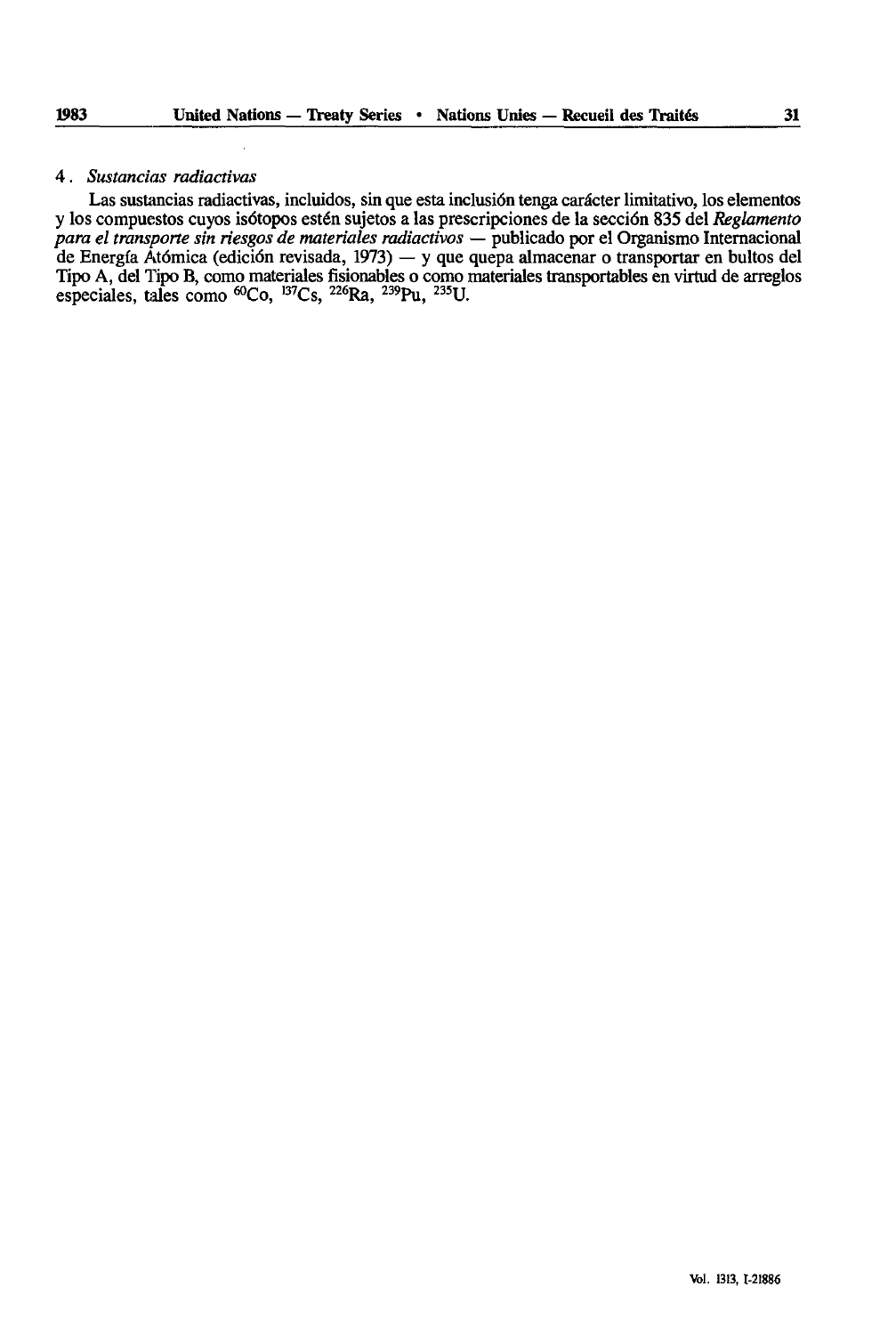#### 4. *Sustancias radiactivas*

Las sustancias radiactivas, incluidos, sin que esta inclusion tenga carâcter limitativo, los elementos y los compuestos cuyos isotopes estén sujetos a las prescripciones de la secciôn 835 del *Reglamento para el transporte sin riesgos de materiales radiactivos —* publicado por el Organismo International de Energfa Atômica (ediciôn revisada, 1973) — y que quepa almacenar o transportar en bultos del Tipo A, del Tipo B, como materiales fisionables o como materiales transportables en virtud de arreglos especiales, tales como <sup>60</sup>Co, <sup>137</sup>Cs, <sup>226</sup>Ra, <sup>239</sup>Pu, <sup>235</sup>U.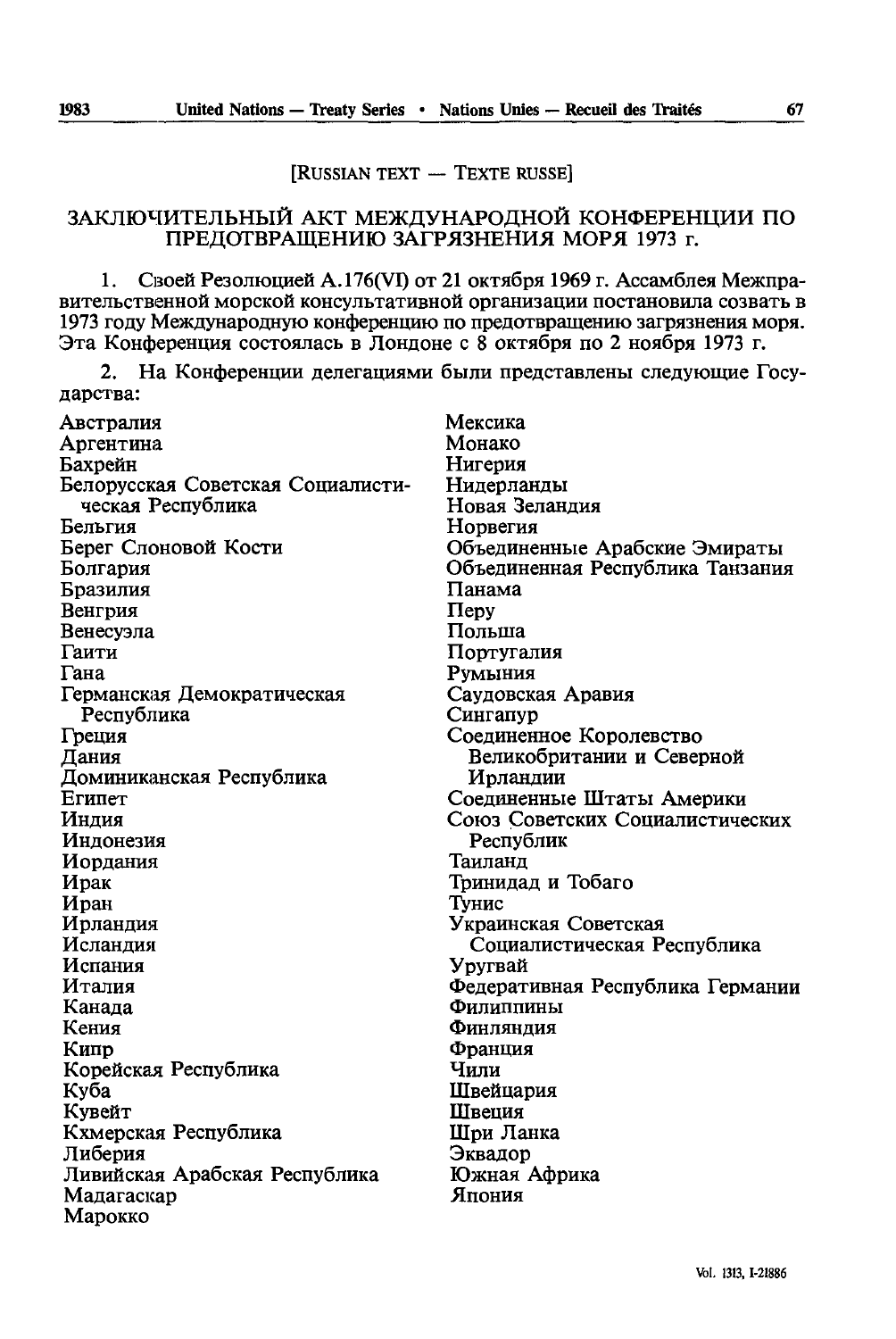# [RUSSIAN TEXT - TEXTE RUSSE]

# ЗАКЛЮЧИТЕЛЬНЫЙ АКТ МЕЖДУНАРОДНОЙ КОНФЕРЕНЦИИ ПО ПРЕДОТВРАЩЕНИЮ ЗАГРЯЗНЕНИЯ МОРЯ 1973 г.

1. Своей Резолюцией A.176(VI) от 21 октября 1969 г. Ассамблея Межправительственной морской консультативной организации постановила созвать в 1973 году Международную конференцию по предотвращению загрязнения моря. Эта Конференция состоялась в Лондоне с 8 октября по 2 ноября 1973 г.

2. На Конференции делегациями были представлены следующие Государства:

| Австралия                         | Мексика                          |
|-----------------------------------|----------------------------------|
| Аргентина                         | Монако                           |
| Бахрейн                           | Нигерия                          |
| Белорусская Советская Социалисти- | Нидерланды                       |
| ческая Республика                 | Новая Зеландия                   |
| Бельгия                           | Норвегия                         |
| Берег Слоновой Кости              | Объединенные Арабские Эмираты    |
| Болгария                          | Объединенная Республика Танзания |
| Бразилия                          | Панама                           |
| Венгрия                           | $\pi$                            |
| Венесуэла                         | Польша                           |
| Гаити                             | Португалия                       |
| Гана                              | Румыния                          |
| Германская Демократическая        | Саудовская Аравия                |
| Республика                        | Сингапур                         |
| Греция                            | Соединенное Королевство          |
| Дания                             | Великобритании и Северной        |
| Доминиканская Республика          | Ирландии                         |
| Египет                            | Соединенные Штаты Америки        |
| Индия                             | Союз Советских Социалистических  |
| Индонезия                         | Республик                        |
| Иордания                          | Таиланд                          |
| Ирак                              | Тринидад и Тобаго                |
| Иран                              | Тунис                            |
| Ирландия                          | Украинская Советская             |
| Исландия                          | Социалистическая Республика      |
| Испания                           | Уругвай                          |
| Италия                            | Федеративная Республика Германии |
| Канада                            | Филиппины                        |
| Кения                             | Финляндия                        |
| Кипр                              | Франция                          |
| Корейская Республика              | Чили                             |
| Куба                              | Швейцария                        |
| Кувейт                            | Швеция                           |
| Кхмерская Республика              | Шри Ланка                        |
| Либерия                           | Эквадор                          |
| Ливийская Арабская Республика     | Южная Африка                     |
| Мадагаскар                        | Япония                           |
| Марокко                           |                                  |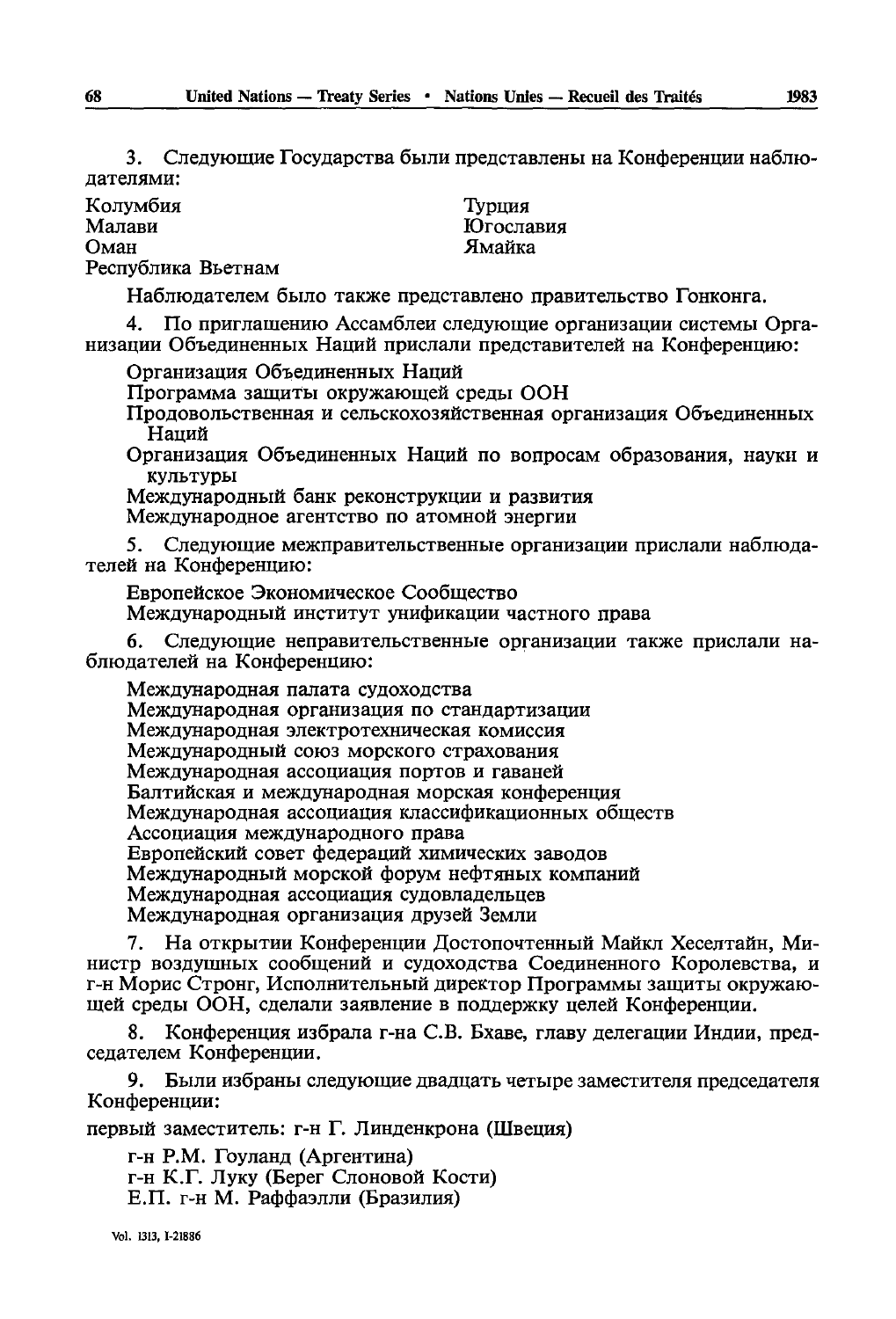3. Следующие Государства были представлены на Конференции наблюдателями:

Колумбия Малави Оман Республика Вьетнам

Турция **Югославия** Ямайка

Наблюдателем было также представлено правительство Гонконга.

4. По приглашению Ассамблеи следующие организации системы Организации Объединенных Наций прислали представителей на Конференцию:

Организация Объединенных Наций

Программа защиты окружающей среды ООН

Продовольственная и сельскохозяйственная организация Объединенных Наций

Организация Объединенных Наций по вопросам образования, науки и культуры

Международный банк реконструкции и развития

Международное агентство по атомной энергии

5. Следующие межправительственные организации прислали наблюдателей на Конференцию:

Европейское Экономическое Сообщество Международный институт унификации частного права

6. Следующие неправительственные организации также прислали наблюдателей на Конференцию:

Международная палата судоходства Международная организация по стандартизации Международная электротехническая комиссия Международный союз морского страхования Международная ассоциация портов и гаваней Балтийская и международная морская конференция Международная ассоциация классификационных обществ Ассоциация международного права Европейский совет федераций химических заводов Международный морской форум нефтяных компаний Международная ассоциация судовладельцев Международная организация друзей Земли

7. На открытии Конференции Достопочтенный Майкл Хеселтайн, Министр воздушных сообщений и судоходства Соединенного Королевства, и г-н Морис Стронг, Исполнительный директор Программы защиты окружающей среды ООН, сделали заявление в поддержку целей Конференции.

8. Конференция избрала г-на С.В. Бхаве, главу лелегации Инлии, председателем Конференции.

9. Были избраны следующие двадцать четыре заместителя председателя Конференции:

первый заместитель: г-н Г. Линденкрона (Швеция)

г-н Р.М. Гоуланд (Аргентина) г-н К.Г. Луку (Берег Слоновой Кости) Е.П. г-н М. Раффаэлли (Бразилия)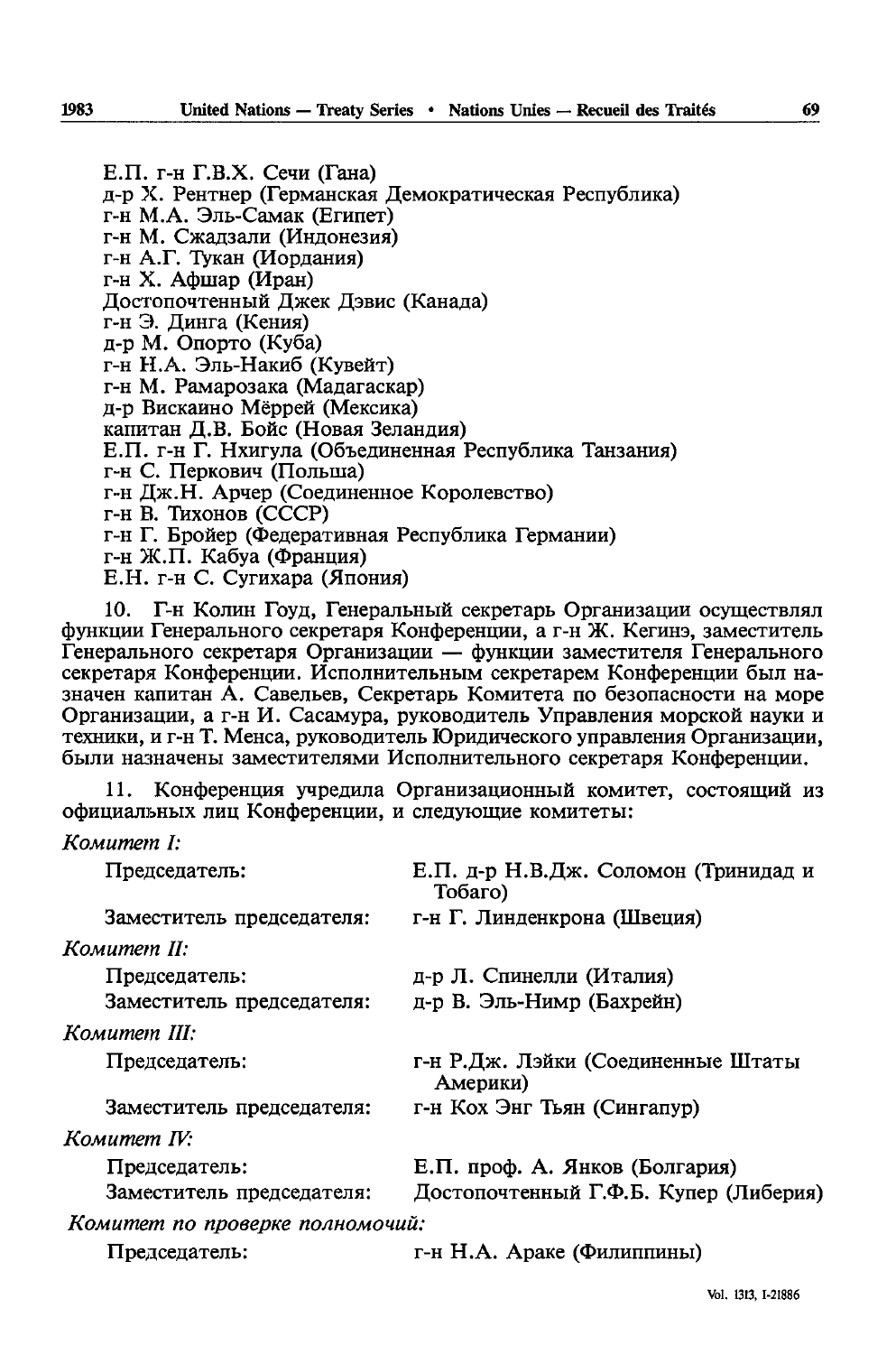Е.П. г-н Г.В.Х. Сечи (Гана) д-р Х. Рентнер (Германская Демократическая Республика) г-н М.А. Эль-Самак (Египет) г-н М. Сжадзали (Индонезия) г-н А.Г. Тукан (Иордания) г-н Х. Афшар (Иран) Лостопочтенный Лжек Дэвис (Канада) г-н Э. Динга (Кения) д-р М. Опорто (Куба) г-н Н.А. Эль-Накиб (Кувейт) г-н М. Рамарозака (Малагаскар) д-р Вискаино Мёррей (Мексика) капитан Л.В. Бойс (Новая Зеландия) Е.П. г-н Г. Нхигула (Объединенная Республика Танзания) г-н С. Перкович (Польша) г-н Дж.Н. Арчер (Соединенное Королевство) г-н В. Тихонов (СССР) г-н Г. Бройер (Федеративная Республика Германии) г-н Ж.П. Кабуа (Франция) Е.Н. г-н С. Сугихара (Япония)

Г-н Колин Гоуд, Генеральный секретарь Организации осуществлял функции Генерального секретаря Конференции, а г-н Ж. Кегинэ, заместитель Генерального секретаря Организации - функции заместителя Генерального секретаря Конференции. Исполнительным секретарем Конференции был назначен капитан А. Савельев, Секретарь Комитета по безопасности на море Организации, а г-н И. Сасамура, руководитель Управления морской науки и техники, и г-н Т. Менса, руководитель Юридического управления Организации, были назначены заместителями Исполнительного секретаря Конференции.

Конференция учредила Организационный комитет, состоящий из 11. официальных лиц Конференции, и следующие комитеты:

|  | Комитет I: |
|--|------------|
|--|------------|

| Председатель:                   | Е.П. д-р Н.В.Дж. Соломон (Тринидад и<br>Тобаго) |
|---------------------------------|-------------------------------------------------|
| Заместитель председателя:       | г-н Г. Линденкрона (Швеция)                     |
| Комитет II:                     |                                                 |
| Председатель:                   | д-р Л. Спинелли (Италия)                        |
| Заместитель председателя:       | д-р В. Эль-Нимр (Бахрейн)                       |
| Комитет III:                    |                                                 |
| Председатель:                   | г-н Р.Дж. Лэйки (Соединенные Штаты<br>Америки)  |
| Заместитель председателя:       | г-н Кох Энг Тьян (Сингапур)                     |
| Комитет IV:                     |                                                 |
| Председатель:                   | Е.П. проф. А. Янков (Болгария)                  |
| Заместитель председателя:       | Достопочтенный Г.Ф.Б. Купер (Либерия)           |
| Комитет по проверке полномочий: |                                                 |
| Председатель:                   | г-н Н.А. Араке (Филиппины)                      |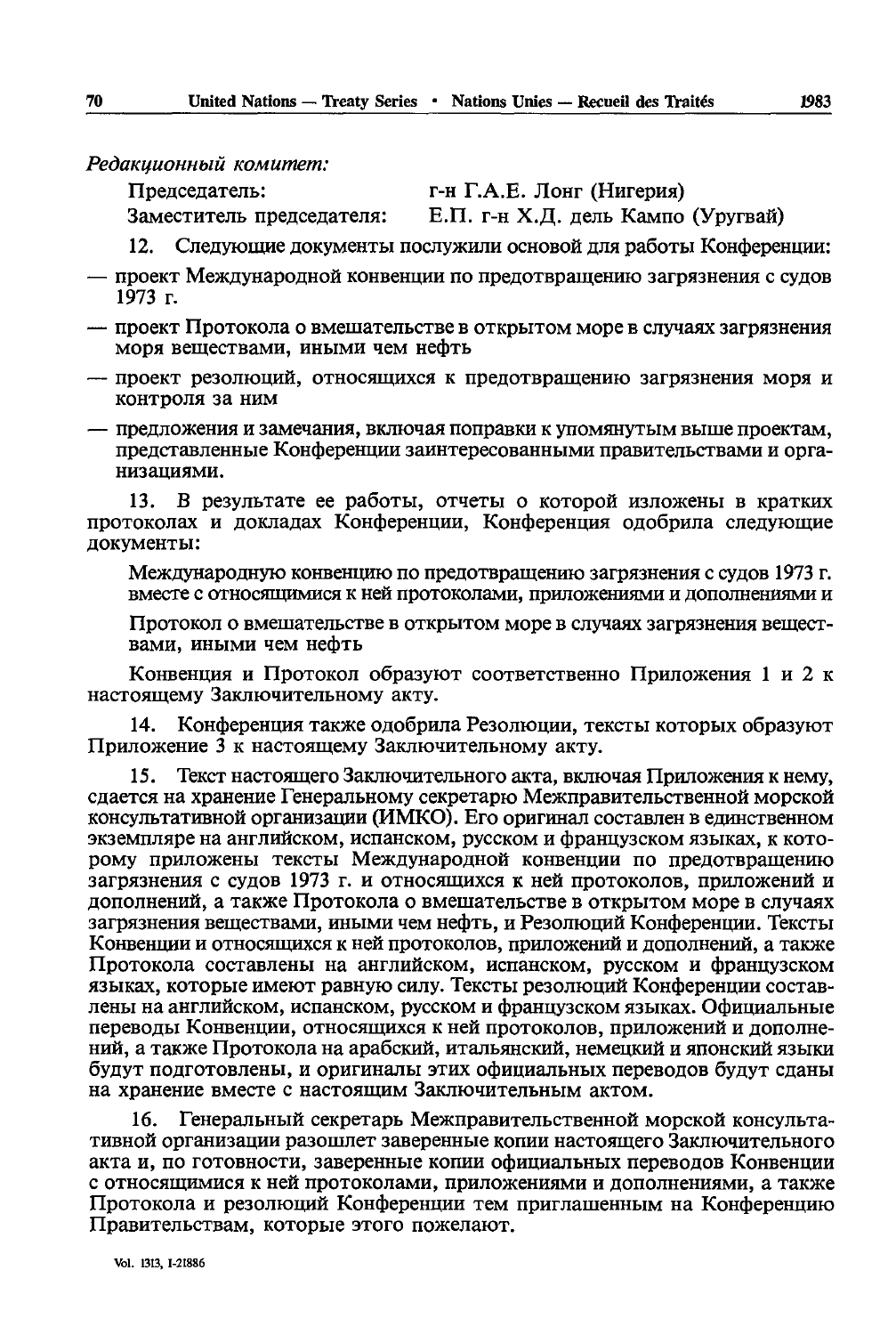Редакционный комитет:

Заместитель председателя:

Председатель:

г-н Г.А.Е. Лонг (Нигерия)

Е.П. г-н Х.Д. дель Кампо (Уругвай)

Следующие документы послужили основой для работы Конференции: 12.

- проект Международной конвенции по предотвращению загрязнения с судов  $1973$  г.
- проект Протокола о вмешательстве в открытом море в случаях загрязнения моря веществами, иными чем нефть
- проект резолюций, относящихся к предотвращению загрязнения моря и контроля за ним
- предложения и замечания, включая поправки к упомянутым выше проектам, представленные Конференции заинтересованными правительствами и организациями.

В результате ее работы, отчеты о которой изложены в кратких  $13.$ протоколах и докладах Конференции, Конференция одобрила следующие документы:

Международную конвенцию по предотвращению загрязнения с судов 1973 г. вместе с относящимися к ней протоколами, приложениями и дополнениями и

Протокол о вмешательстве в открытом море в случаях загрязнения веществами, иными чем нефть

Конвенция и Протокол образуют соответственно Приложения 1 и 2 к настоящему Заключительному акту.

14. Конференция также одобрила Резолюции, тексты которых образуют Приложение 3 к настоящему Заключительному акту.

Текст настоящего Заключительного акта, включая Приложения к нему, 15. сдается на хранение Генеральному секретарю Межправительственной морской консультативной организации (ИМКО). Его оригинал составлен в единственном экземпляре на английском, испанском, русском и французском языках, к которому приложены тексты Международной конвенции по предотвращению загрязнения с судов 1973 г. и относящихся к ней протоколов, приложений и дополнений, а также Протокола о вмешательстве в открытом море в случаях загрязнения веществами, иными чем нефть, и Резолюций Конференции. Тексты Конвенции и относящихся к ней протоколов, приложений и дополнений, а также Протокола составлены на английском, испанском, русском и французском языках, которые имеют равную силу. Тексты резолюций Конференции составлены на английском, испанском, русском и французском языках. Официальные переводы Конвенции, относящихся к ней протоколов, приложений и дополнений, а также Протокола на арабский, итальянский, немецкий и японский языки будут подготовлены, и оригиналы этих официальных переводов будут сданы на хранение вместе с настоящим Заключительным актом.

Генеральный секретарь Межправительственной морской консульта-16. тивной организации разошлет заверенные копии настоящего Заключительного акта и, по готовности, заверенные копии официальных переводов Конвенции с относящимися к ней протоколами, приложениями и дополнениями, а также Протокола и резолюций Конференции тем приглашенным на Конференцию Правительствам, которые этого пожелают.

70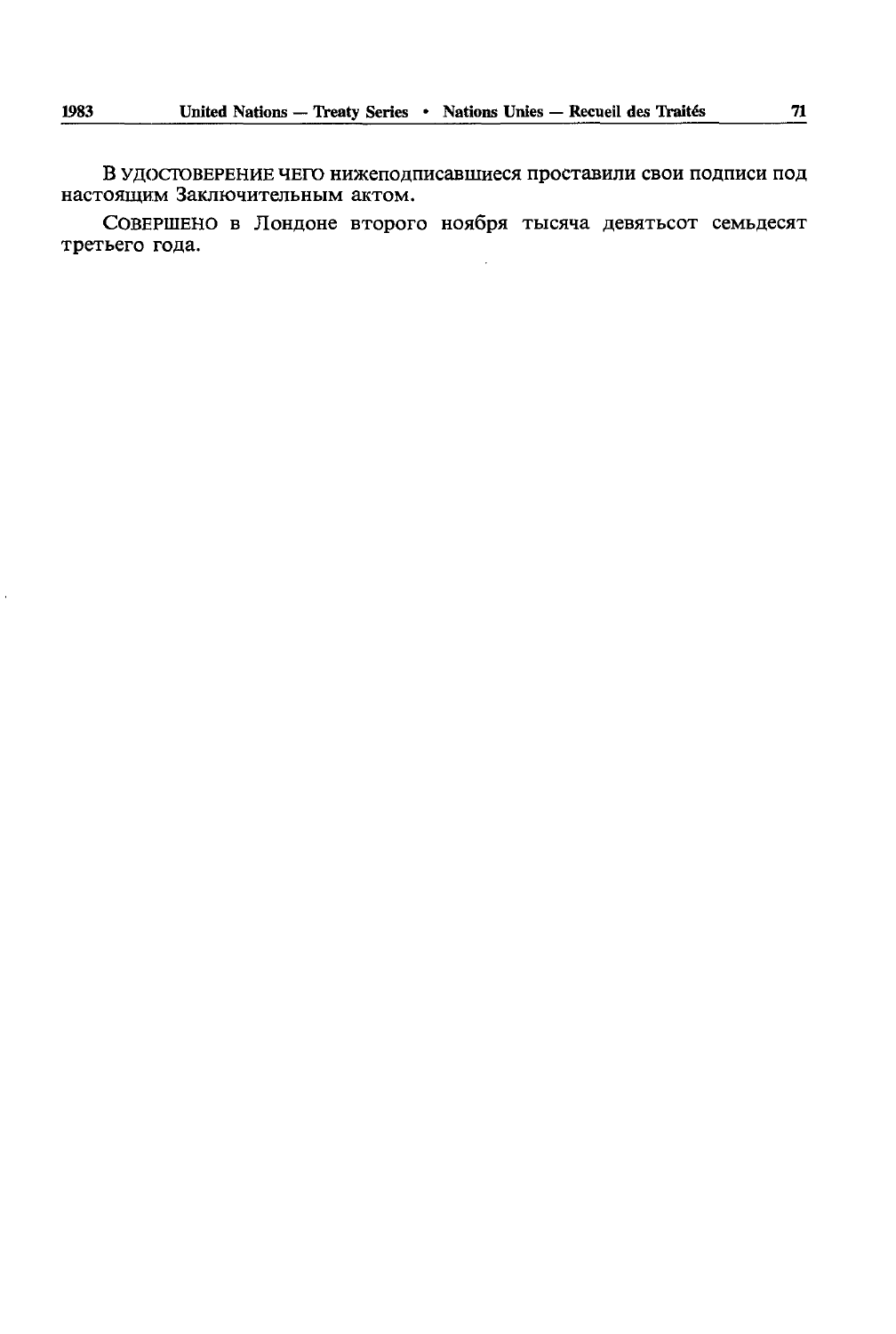В удостоверение чего нижеподписавшиеся проставили свои подписи под настоящим Заключительным актом.

СОВЕРШЕНО в Лондоне второго ноября тысяча девятьсот семьдесят третьего года.

l,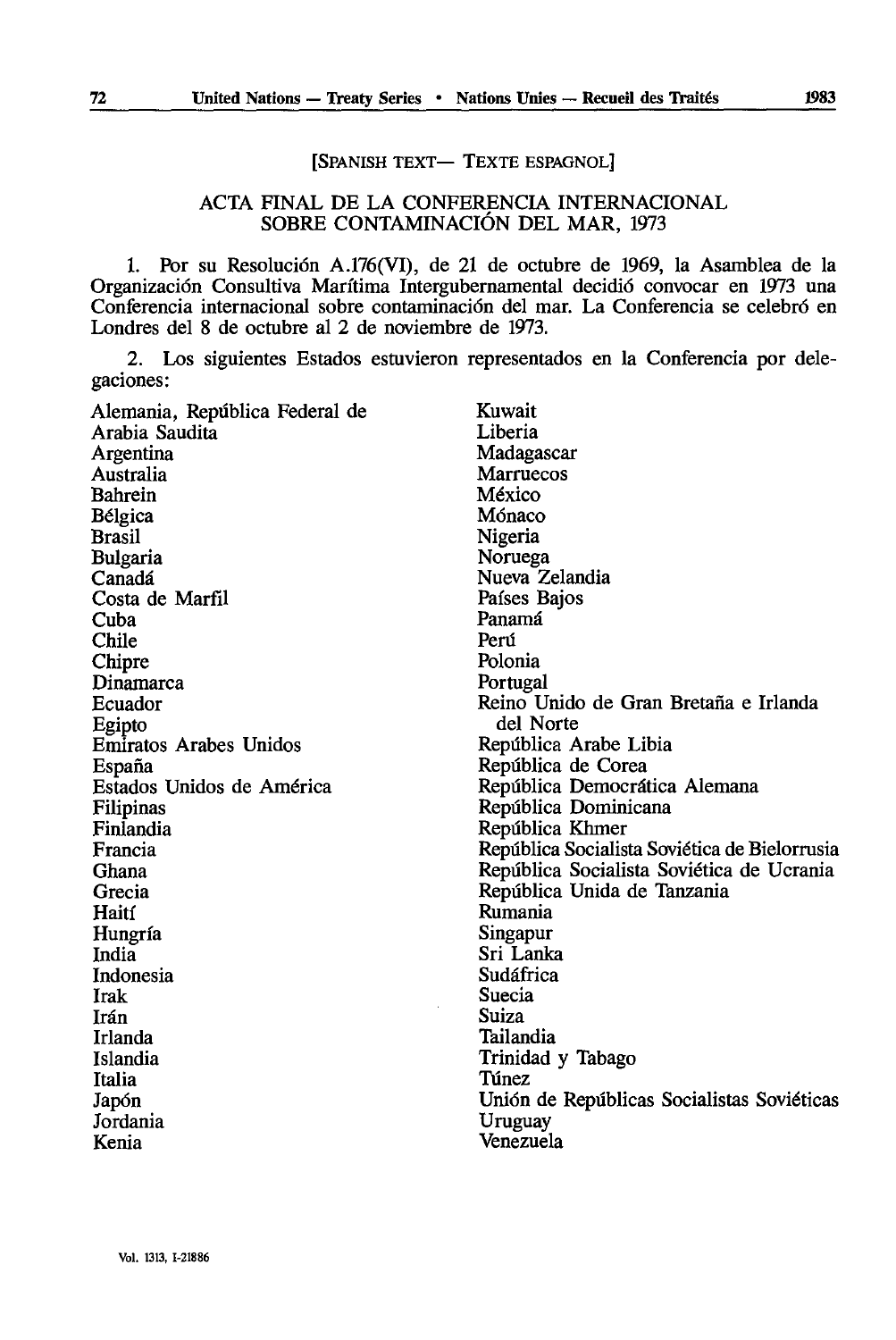# [SPANISH TEXT— TEXTE ESPAGNOL]

## ACTA FINAL DE LA CONFERENCIA INTERNACIONAL SOBRE CONTAMINACIÔN DEL MAR, 1973

1. Por su Resolution A.176(VI), de 21 de octubre de 1969, la Asamblea de la Organización Consultiva Marítima Intergubernamental decidió convocar en 1973 una Conferencia internacional sobre contaminación del mar. La Conferencia se celebró en Londres del 8 de octubre al 2 de noviembre de 1973.

2. Los siguientes Estados estuvieron representados en la Conferencia por delegaciones:

| Alemania, República Federal de | Kuwait                                        |
|--------------------------------|-----------------------------------------------|
| Arabia Saudita                 | Liberia                                       |
| Argentina                      | Madagascar                                    |
| Australia                      | <b>Marruecos</b>                              |
| Bahrein                        | México                                        |
| Bélgica                        | Mónaco                                        |
| Brasil                         | Nigeria                                       |
| <b>Bulgaria</b>                | Noruega                                       |
| Canadá                         | Nueva Zelandia                                |
| Costa de Marfil                | Países Bajos                                  |
| Cuba                           | Panamá                                        |
| Chile                          | Perú                                          |
| Chipre                         | Polonia                                       |
| Dinamarca                      | Portugal                                      |
| Ecuador                        | Reino Unido de Gran Bretaña e Irlanda         |
| Egipto                         | del Norte                                     |
| Emiratos Arabes Unidos         | República Arabe Libia                         |
| España                         | República de Corea                            |
| Estados Unidos de América      | República Democrática Alemana                 |
| Filipinas                      | República Dominicana                          |
| Finlandia                      | República Khmer                               |
| Francia                        | República Socialista Soviética de Bielorrusia |
| Ghana                          | República Socialista Soviética de Ucrania     |
| Grecia                         | República Unida de Tanzania                   |
| Haití                          | Rumania                                       |
| Hungría                        | Singapur                                      |
| India                          | Sri Lanka                                     |
| Indonesia                      | Sudáfrica                                     |
| Irak                           | Suecia                                        |
| Irán                           | Suiza                                         |
| Irlanda                        | Tailandia                                     |
| Islandia                       | Trinidad y Tabago                             |
| Italia                         | Túnez                                         |
| Japón                          | Unión de Repúblicas Socialistas Soviéticas    |
| Jordania                       | Uruguay                                       |
| Kenia                          | Venezuela                                     |
|                                |                                               |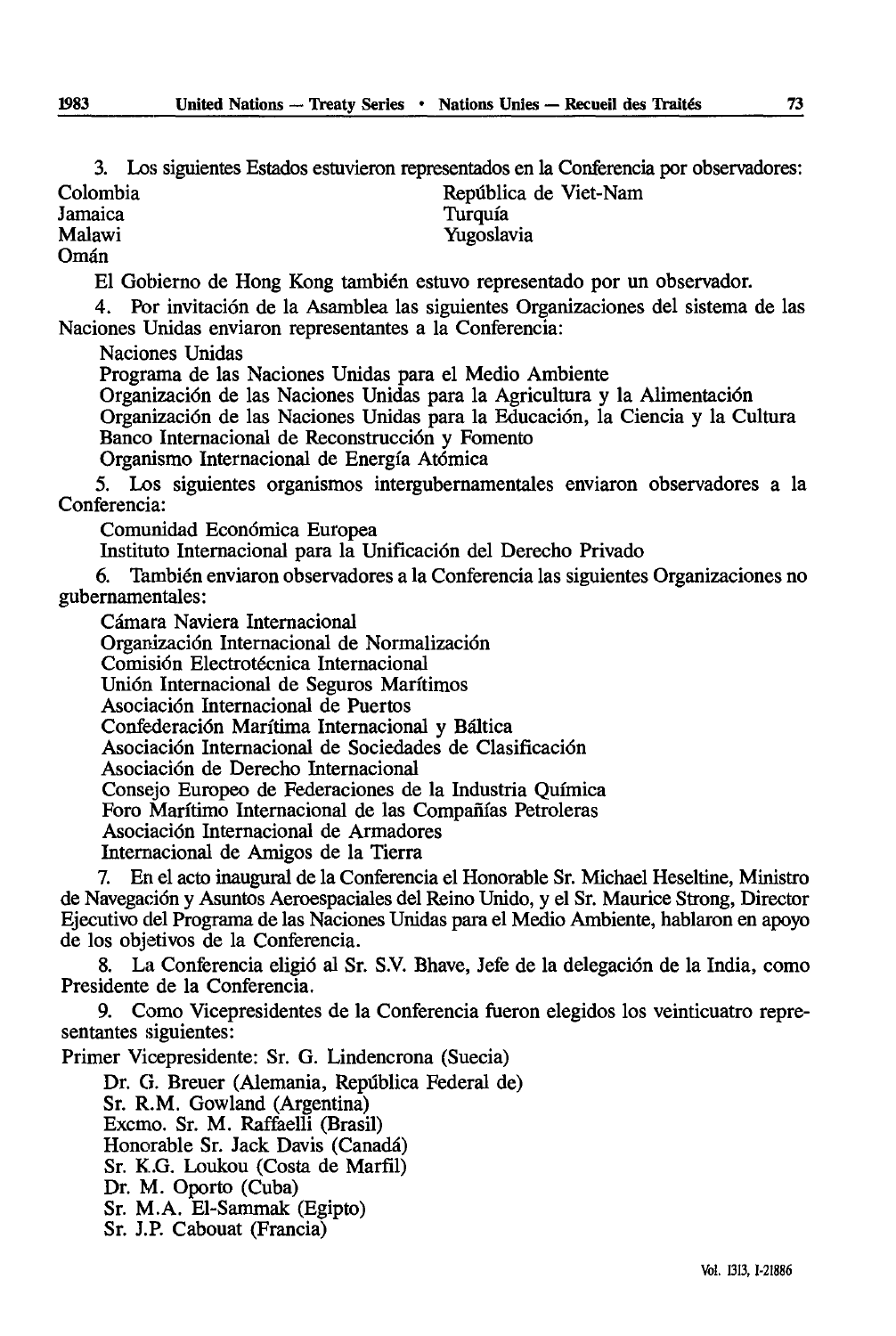3. Los siguientes Estados estuvieron representados en la Conferencia por observadores:

Yugoslavia

Colombia Repûblica de Viet-Nam

Jamaica Turquîa

Omán

El Gobierno de Hong Kong también estuvo representado por un observador.

4. Por invitaciôn de la Asamblea las siguientes Organizaciones del sistema de las Naciones Unidas enviaron representantes a la Conferencia:

Naciones Unidas

Programa de las Naciones Unidas para el Medio Ambiente

Organizaciôn de las Naciones Unidas para la Agriculture y la Alimentaciôn Organizaciôn de las Naciones Unidas para la Educaciôn, la Ciencia y la Cultura Banco Internacional de Reconstrucciôn y Fomenta

Organismo Internacional de Energîa Atômica

5. Los siguientes organismes intergubernamentales enviaron observadores a la Conferencia:

Comunidad Econômica Europea

Instituto Internacional para la Unificación del Derecho Privado

6. También enviaron observadores a la Conferencia las siguientes Organizaciones no gubernamentales:

Câmara Naviera Internacional

Organización Internacional de Normalización

Comisiôn Electrotécnica Internacional

Unión Internacional de Seguros Marítimos

Asociacién Internacional de Puertos

Confederaciôn Maritima Internacional y Bâltica

Asociacidn Internacional de Sociedades de Clasificaciôn

Asociaciôn de Derecho Internacional

Consejo Europeo de Federaciones de la Industria Qufmica

Foro Marítimo Internacional de las Compañías Petroleras

Asociaciôn Internacional de Armadores

Internacional de Amigos de la Tierra

7. En el acto inaugural de la Conferencia el Honorable Sr. Michael Heseltine, Ministre de Navegaciôn y Asuntos Aerœspaciales del Reino Unido, y el Sr. Maurice Strong, Director Ejecutivo del Programa de las Naciones Unidas para el Medio Ambiente, hablaron en apoyo de los objetivos de la Conferencia.

8. La Conferencia eligiô al Sr. S.V. Bhave, Jefe de la delegation de la India, como Presidente de la Conferencia.

9. Como Vicepresidentes de la Conferencia fueron elegidos los veinticuatro repré sentantes siguientes:

Primer Vicepresidente: Sr. G. Lindencrona (Suecia) Dr. G. Breuer (Alemania, Repûblica Federal de)

Sr. R.M. Gowland (Argentina) Excmo. Sr. M. Raffaelli (Brasil) Honorable Sr. Jack Davis (Canada) Sr. K.G. Loukou (Costa de Marfil) Dr. M. Oporto (Cuba) Sr. M.A. El-Sammak (Egipto) Sr. J.P. Cabouat (Francia)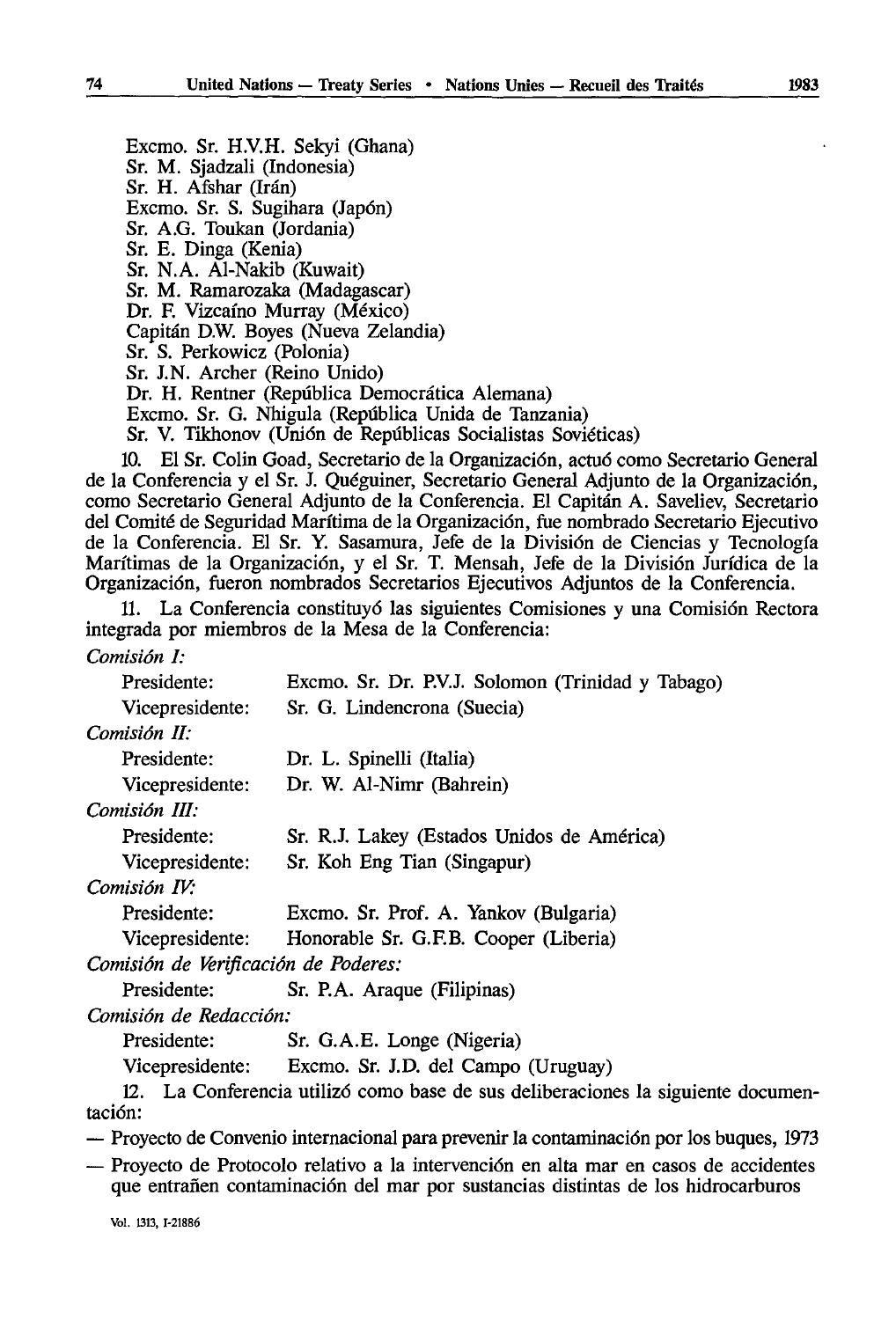Excmo. Sr. H.V.H. Sekyi (Ghana) Sr. M. Sjadzali (Indonesia) Sr. H. Afshar (Irán) Excmo. Sr. S. Sugihara (Japon) Sr. A.G. Toukan (Jordania) Sr. E. Dinga (Kenia) Sr. N.A. Al-Nakib (Kuwait) Sr. M. Ramarozaka (Madagascar) Dr. F. Vizcaíno Murray (México) Capitan D.W. Boyes (Nueva Zelandia) Sr. S. Perkowicz (Polonia) Sr. J.N. Archer (Reino Unido) Dr. H. Rentner (Repûblica Democrâtica Alemana) Excmo. Sr. G. Nhigula (Repûblica Unida de Tanzania) Sr. V. Tikhonov (Union de Repûblicas Socialistas Soviéticas)

10. El Sr. Colin Goad, Secretario de la Organizacidn, actud como Secretario General de la Conferencia y el Sr. J. Quéguiner, Secretario General Adjunto de la Organizaciôn, como Secretario General Adjunto de la Conferencia. El Capitan A. Saveliev, Secretario del Comité de Seguridad Marftima de la Organizacidn, fue nombrado Secretario Ejecutivo de la Conferencia. El Sr. Y. Sasamura, Jefe de la Divisidn de Ciencias y Tecnologfa Maritimas de la Organizacidn, y el Sr. T. Mensah, Jefe de la Division Juridica de la Organizacidn, fueron nombrados Secretaries Ejecutivos Adjuntos de la Conferencia.

11. La Conferencia constituyd las siguientes Comisiones y una Comisidn Rectora integrada por miembros de la Mesa de la Conferencia:

### *Comisiôn I:*

| Presidente:                          | Excmo. Sr. Dr. P.V.J. Solomon (Trinidad y Tabago)     |
|--------------------------------------|-------------------------------------------------------|
| Vicepresidente:                      | Sr. G. Lindencrona (Suecia)                           |
| Comisión II:                         |                                                       |
| Presidente:                          | Dr. L. Spinelli (Italia)                              |
| Vicepresidente:                      | Dr. W. Al-Nimr (Bahrein)                              |
| Comisión III:                        |                                                       |
| Presidente:                          | Sr. R.J. Lakey (Estados Unidos de América)            |
| Vicepresidente:                      | Sr. Koh Eng Tian (Singapur)                           |
| Comisión IV:                         |                                                       |
| Presidente:                          | Excmo. Sr. Prof. A. Yankov (Bulgaria)                 |
|                                      | Vicepresidente: Honorable Sr. G.F.B. Cooper (Liberia) |
| Comisión de Verificación de Poderes: |                                                       |
| Presidente:                          | Sr. P.A. Araque (Filipinas)                           |
| Comisión de Redacción:               |                                                       |

Presidente: Sr. G.A.E. Longe (Nigeria)

Vicepresidente: Excmo. Sr. J.D. del Campo (Uruguay)

12. La Conferencia utilizd como base de sus deliberaciones la siguiente documentacidn:

— Proyecto de Convenio internacional para prévenir la contaminacidn por los buques, 1973

— Proyecto de Protocolo relativo a la intervencidn en alta mar en casos de accidentes que entrañen contaminación del mar por sustancias distintas de los hidrocarburos